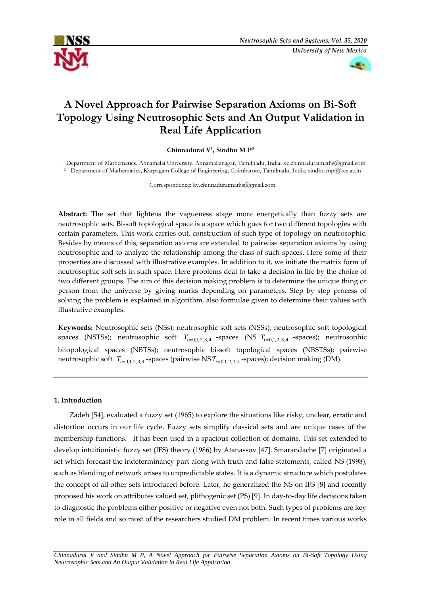



# **A Novel Approach for Pairwise Separation Axioms on Bi-Soft Topology Using Neutrosophic Sets and An Output Validation in Real Life Application**

# **Chinnadurai V<sup>1</sup> , Sindhu M P<sup>2</sup>**

<sup>1</sup> Department of Mathematics, Annamalai University, Annamalainagar, Tamilnadu, India; kv.chinnaduraimaths@gmail.com <sup>2</sup> Department of Mathematics, Karpagam College of Engineering, Coimbatore, Tamilnadu, India; [sindhu.mp@k](mailto:sindhu.mp@)ce.ac.in

Correspondence: kv.chinnaduraimaths@gmail.com

**Abstract:** The set that lightens the vagueness stage more energetically than fuzzy sets are neutrosophic sets. Bi-soft topological space is a space which goes for two different topologies with certain parameters. This work carries out, construction of such type of topology on neutrosophic. Besides by means of this, separation axioms are extended to pairwise separation axioms by using neutrosophic and to analyze the relationship among the class of such spaces. Here some of their properties are discussed with illustrative examples. In addition to it, we initiate the matrix form of neutrosophic soft sets in such space. Here problems deal to take a decision in life by the choice of two different groups. The aim of this decision making problem is to determine the unique thing or person from the universe by giving marks depending on parameters. Step by step process of solving the problem is explained in algorithm, also formulae given to determine their values with illustrative examples.

**Keywords:** Neutrosophic sets (NSs); neutrosophic soft sets (NSSs); neutrosophic soft topological spaces (NSTSs); neutrosophic soft  $T_{i=0,1,2,3,4}$  -spaces (NS  $T_{i=0,1,2,3,4}$  -spaces); neutrosophic bitopological spaces (NBTSs); neutrosophic bi-soft topological spaces (NBSTSs); pairwise neutrosophic soft  $T_{i=0,1,2,3,4}$ -spaces (pairwise NS $T_{i=0,1,2,3,4}$ -spaces); decision making (DM).

# **1. Introduction**

Zadeh [54], evaluated a fuzzy set (1965) to explore the situations like risky, unclear, erratic and distortion occurs in our life cycle. Fuzzy sets simplify classical sets and are unique cases of the membership functions. It has been used in a spacious collection of domains. This set extended to develop intuitionistic fuzzy set (IFS) theory (1986) by Atanassov [47]. Smarandache [7] originated a set which forecast the indeterminancy part along with truth and false statements, called NS (1998), such as blending of network arises to unpredictable states. It is a dynamic structure which postulates the concept of all other sets introduced before. Later, he generalized the NS on IFS [8] and recently proposed his work on attributes valued set, plithogenic set (PS) [9]. In day-to-day life decisions taken to diagnostic the problems either positive or negative even not both. Such types of problems are key role in all fields and so most of the researchers studied DM problem. In recent times various works

*Chinnadurai V and Sindhu M P, A Novel Approach for Pairwise Separation Axioms on Bi-Soft Topology Using Neutrosophic Sets and An Output Validation in Real Life Application*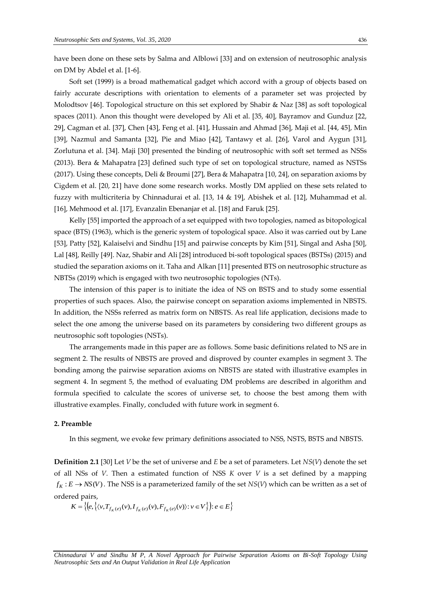have been done on these sets by Salma and Alblowi [33] and on extension of neutrosophic analysis on DM by Abdel et al. [1-6].

Soft set (1999) is a broad mathematical gadget which accord with a group of objects based on fairly accurate descriptions with orientation to elements of a parameter set was projected by Molodtsov [46]. Topological structure on this set explored by Shabir & Naz [38] as soft topological spaces (2011). Anon this thought were developed by Ali et al. [35, 40], Bayramov and Gunduz [22, 29], Cagman et al. [37], Chen [43], Feng et al. [41], Hussain and Ahmad [36], Maji et al. [44, 45], Min [39], Nazmul and Samanta [32], Pie and Miao [42], Tantawy et al. [26], Varol and Aygun [31], Zorlutuna et al. [34]. Maji [30] presented the binding of neutrosophic with soft set termed as NSSs (2013). Bera & Mahapatra [23] defined such type of set on topological structure, named as NSTSs (2017). Using these concepts, Deli & Broumi [27], Bera & Mahapatra [10, 24], on separation axioms by Cigdem et al. [20, 21] have done some research works. Mostly DM applied on these sets related to fuzzy with multicriteria by Chinnadurai et al. [13, 14 & 19], Abishek et al. [12], Muhammad et al. [16], Mehmood et al. [17], Evanzalin Ebenanjar et al. [18] and Faruk [25].

Kelly [55] imported the approach of a set equipped with two topologies, named as bitopological space (BTS) (1963), which is the generic system of topological space. Also it was carried out by Lane [53], Patty [52], Kalaiselvi and Sindhu [15] and pairwise concepts by Kim [51], Singal and Asha [50], Lal [48], Reilly [49]. Naz, Shabir and Ali [28] introduced bi-soft topological spaces (BSTSs) (2015) and studied the separation axioms on it. Taha and Alkan [11] presented BTS on neutrosophic structure as NBTSs (2019) which is engaged with two neutrosophic topologies (NTs).

The intension of this paper is to initiate the idea of NS on BSTS and to study some essential properties of such spaces. Also, the pairwise concept on separation axioms implemented in NBSTS. In addition, the NSSs referred as matrix form on NBSTS. As real life application, decisions made to select the one among the universe based on its parameters by considering two different groups as neutrosophic soft topologies (NSTs).

The arrangements made in this paper are as follows. Some basic definitions related to NS are in segment 2. The results of NBSTS are proved and disproved by counter examples in segment 3. The bonding among the pairwise separation axioms on NBSTS are stated with illustrative examples in segment 4. In segment 5, the method of evaluating DM problems are described in algorithm and formula specified to calculate the scores of universe set, to choose the best among them with illustrative examples. Finally, concluded with future work in segment 6.

# **2. Preamble**

In this segment, we evoke few primary definitions associated to NSS, NSTS, BSTS and NBSTS.

**Definition 2.1** [30] Let *V* be the set of universe and *E* be a set of parameters. Let *NS*(*V*) denote the set of all NSs of *V*. Then a estimated function of NSS *K* over *V* is a set defined by a mapping  $f_K : E \to NS(V)$ . The NSS is a parameterized family of the set  $NS(V)$  which can be written as a set of ordered pairs,

 $K = \left\{ \left( e, \left\{ \langle v, T_{f_K(e)}(v), I_{f_K(e)}(v), F_{f_K(e)}(v) \rangle : v \in V \right\} \right) : e \in E \right\}$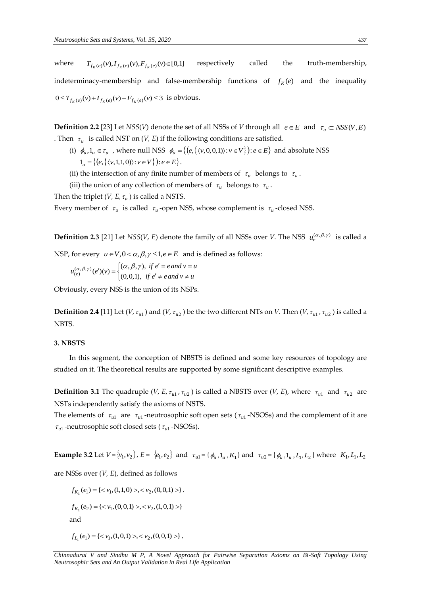where  $T_{f_K(e)}(v), I_{f_K(e)}(v), F_{f_K(e)}(v) \in [0,1]$ respectively called the truth-membership, indeterminacy-membership and false-membership functions of  $f_K(e)$  and the inequality  $0 \le T_{f_K(e)}(v) + I_{f_K(e)}(v) + F_{f_K(e)}(v) \le 3$  is obvious.

**Definition 2.2** [23] Let *NSS*(*V*) denote the set of all NSSs of *V* through all  $e \in E$  and  $\tau_u \subset NSS(V, E)$ . Then  $\tau_u$  is called NST on (*V, E*) if the following conditions are satisfied.

- (i)  $\phi_u, 1_u \in \tau_u$ , where null NSS  $\phi_u = \{(e, \{ \langle v, 0, 0, 1 \rangle : v \in V \}) : e \in E \}$  and absolute NSS  $1_u = \{(e, \{\langle v, 1, 1, 0 \rangle) : v \in V\} \}$ :  $e \in E\}.$
- (ii) the intersection of any finite number of members of  $\tau_u$  belongs to  $\tau_u$ .
- (iii) the union of any collection of members of  $\tau_u$  belongs to  $\tau_u$ .

Then the triplet  $(V, E, \tau_u)$  is called a NSTS.

Every member of  $\tau_u$  is called  $\tau_u$ -open NSS, whose complement is  $\tau_u$ -closed NSS.

**Definition 2.3** [21] Let *NSS*(*V*, *E*) denote the family of all NSSs over *V*. The NSS  $u_e^{(\alpha,\beta,\gamma)}$  is called a

NSP, for every  $u \in V$ ,  $0 < \alpha$ ,  $\beta$ ,  $\gamma \leq 1$ ,  $e \in E$  and is defined as follows:

$$
u_{(e)}^{(\alpha,\beta,\gamma)}(e')(v) = \begin{cases} (\alpha,\beta,\gamma), & \text{if } e'=e \text{ and } v=u\\ (0,0,1), & \text{if } e' \neq e \text{ and } v \neq u \end{cases}
$$

Obviously, every NSS is the union of its NSPs.

**Definition 2.4** [11] Let (*V*,  $\tau_{u1}$ ) and (*V*,  $\tau_{u2}$ ) be the two different NTs on *V*. Then (*V*,  $\tau_{u1}$ ,  $\tau_{u2}$ ) is called a NBTS.

#### **3. NBSTS**

In this segment, the conception of NBSTS is defined and some key resources of topology are studied on it. The theoretical results are supported by some significant descriptive examples.

**Definition 3.1** The quadruple (*V*, *E*,  $\tau_{u1}$ ,  $\tau_{u2}$ ) is called a NBSTS over (*V*, *E*), where  $\tau_{u1}$  and  $\tau_{u2}$  are NSTs independently satisfy the axioms of NSTS.

The elements of  $\tau_{u1}$  are  $\tau_{u1}$ -neutrosophic soft open sets ( $\tau_{u1}$ -NSOSs) and the complement of it are  $\tau_{ul}$  -neutrosophic soft closed sets ( $\tau_{ul}$  -NSOSs).

**Example 3.2** Let  $V = \{v_1, v_2\}$ ,  $E = \{e_1, e_2\}$  and  $\tau_{u1} = \{\phi_u, 1_u, K_1\}$  and  $\tau_{u2} = \{\phi_u, 1_u, L_1, L_2\}$  where  $K_1, L_1, L_2$ 

are NSSs over (*V, E*), defined as follows

 $f_{K_1}(e_1) = \{ \langle v_1, (1,1,0) \rangle, \langle v_2, (0,0,1) \rangle \},$ 

 $f_{K_1}(e_2) = \{ \langle v_1, (0,0,1) \rangle, \langle v_2, (1,0,1) \rangle \}$ 

and

$$
f_{L_1}(e_1) = \{ \langle v_1, (1,0,1) \rangle, \langle v_2, (0,0,1) \rangle \},
$$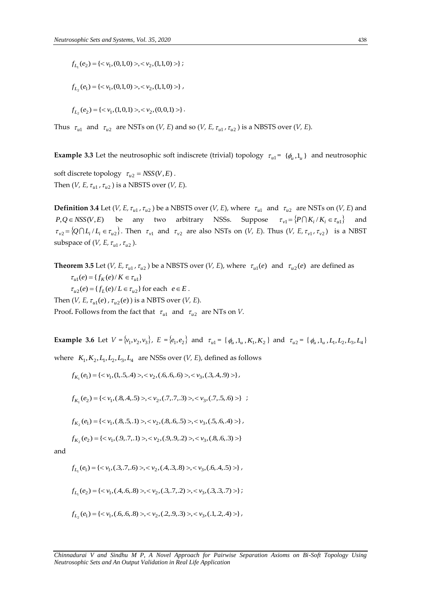$$
f_{L_1}(e_2) = \{ , \} \; ;
$$

$$
f_{L_2}(e_1) = \{ \langle v_1, (0,1,0) \rangle, \langle v_2, (1,1,0) \rangle \},
$$

$$
f_{L_2}(e_2) = \{ \langle v_1, (1,0,1) \rangle, \langle v_2, (0,0,1) \rangle \}.
$$

Thus  $\tau_{u1}$  and  $\tau_{u2}$  are NSTs on (*V, E*) and so (*V, E,*  $\tau_{u1}$ ,  $\tau_{u2}$ ) is a NBSTS over (*V, E*).

**Example 3.3** Let the neutrosophic soft indiscrete (trivial) topology  $\tau_{u1}$  = { $\phi_u$ , 1<sub>*u*</sub>} and neutrosophic

soft discrete topology  $\tau_{u2} = NSS(V, E)$ . Then  $(V, E, \tau_{u1}, \tau_{u2})$  is a NBSTS over  $(V, E)$ .

**Definition 3.4** Let (*V*, *E*,  $\tau_{u1}$ ,  $\tau_{u2}$ ) be a NBSTS over (*V*, *E*), where  $\tau_{u1}$  and  $\tau_{u2}$  are NSTs on (*V*, *E*) and  $P,Q \in NSS(V,E)$  be any two arbitrary NSSs. Suppose  $\tau_{vl} = \{P \cap K_i / K_i \in \tau_{ul}\}$  and  $\tau_{v2} = \{Q \cap L_i / L_i \in \tau_{u2}\}\.$  Then  $\tau_{v1}$  and  $\tau_{v2}$  are also NSTs on (*V, E)*. Thus (*V, E,*  $\tau_{v1}$ ,  $\tau_{v2}$ ) is a NBST subspace of  $(V, E, \tau_{u1}, \tau_{u2})$ .

*f<sub>1</sub>*,  $(e_2) = \{x \, v_1, (0,1,0) > x \, v_2, (1,1,0) > \}$ <br> *f<sub>1<sub>i</sub>*</sub>  $(e_1) = \{x \, v_1, (0,1,0) > x \, v_2, (0,0,1) > \}$ .<br> *f<sub>1i</sub>*  $(e_2) = \{x \, v_1, (1,0,1) > x \, v_2, (0,0,1) > \}$ .<br>
Thus *f<sub>1i</sub>* and *f<sub>12</sub>* are NSTs on  $(V, E)$  and so  $(V, E, r_{i,i}$ , **Theorem 3.5** Let (*V*, *E*,  $\tau_{u1}$ ,  $\tau_{u2}$ ) be a NBSTS over (*V*, *E*), where  $\tau_{u1}(e)$  and  $\tau_{u2}(e)$  are defined as  $\tau_{u1}(e) = \{ f_K(e) / K \in \tau_{u1} \}$  $\tau_{u2}(e) = \{ f_L(e) / L \in \tau_{u2} \}$  for each  $e \in E$ . Then  $(V, E, \tau_{u1}(e), \tau_{u2}(e))$  is a NBTS over  $(V, E)$ . Proof. Follows from the fact that  $\tau_{u1}$  and  $\tau_{u2}$  are NTs on *V*.

**Example 3.6** Let  $V = \{v_1, v_2, v_3\}$ ,  $E = \{e_1, e_2\}$  and  $\tau_{u1} = \{\phi_u, 1_u, K_1, K_2\}$  and  $\tau_{u2} = \{\phi_u, 1_u, L_1, L_2, L_3, L_4\}$ 

where  $K_1, K_2, L_1, L_2, L_3, L_4$  are NSSs over  $(V, E)$ , defined as follows

$$
f_{K_1}(e_1) = \{ \langle v_1, (1, .5, .4) \rangle, \langle v_2, (.6, .6, .6) \rangle, \langle v_3, (.3, .4, .9) \rangle \},
$$

$$
f_{K_1}(e_2) = \{ \langle v_1, (.8, .4, .5)>, \langle v_2, (.7, .7, .3)>, \langle v_3, (.7, .5, .6) > \} ;
$$

$$
f_{K_2}(e_1) = \{ \langle v_1, (0.8, 0.5, 1) \rangle, \langle v_2, (0.8, 0.6, 0.5) \rangle, \langle v_3, (0.5, 0.6, 4) \rangle \},
$$

$$
f_{K_2}(e_2) = \{ \langle v_1, (.9, .7, .1) \rangle, \langle v_2, (.9, .9, .2) \rangle, \langle v_3, (.8, .6, .3) \rangle \}
$$

and

$$
f_{L_1}(e_1) = \{ \langle v_1, (.3, .7, .6) \rangle, \langle v_2, (.4, .3, .8) \rangle, \langle v_3, (.6, .4, .5) \rangle \},
$$

$$
f_{L_1}(e_2) = \{ \langle v_1, (A, .6, .8) \rangle, \langle v_2, (.3, .7, .2) \rangle, \langle v_3, (.3, .3, .7) \rangle \};
$$

$$
f_{L_2}(e_1) = \{ \langle v_1, (.6, .6, .8) \rangle, \langle v_2, (.2, .9, .3) \rangle, \langle v_3, (.1, .2, .4) \rangle \},
$$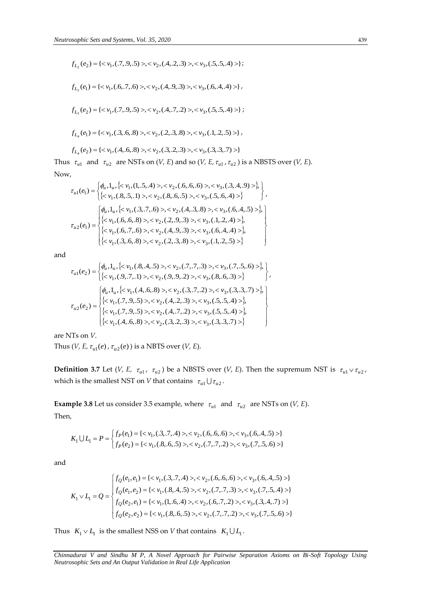$$
f_{L_2}(e_2) = \langle < v_1, (.7, .9, .5) >lt; v_2, (.4, .2, .3) >lt; v_3, (.5, .5, .4) > \rangle;
$$
\n
$$
f_{L_2}(e_1) = \langle < v_1, (.6, .7, .6) >lt; v_2, (.4, .9, .3) >lt; v_3, (.6, .4, .4) > \rangle;
$$
\n
$$
f_{L_2}(e_2) = \langle < v_1, (.7, .9, .5) < v_2, (.4, .7, .2) >lt; v_3, (.5, .5, .4) > \rangle;
$$
\n
$$
f_{L_4}(e_1) = \langle < v_1, (.3, .6, .8) >lt; v_2, (.2, .3, .8) >lt; v_3, (.1, .2, .5) > \rangle;
$$
\n
$$
f_{L_4}(e_2) = \langle < v_1, (.4, .6, .8) >lt; v_2, (.2, .3, .8) >lt; v_3, (.3, .3, .7) > \rangle;
$$
\nThus  $\tau_{a1}$  and  $\tau_{a2}$  are NSTs on  $(V, E)$  and so  $(V, E, \tau_{a1}, \tau_{a2})$  is a NBSTS over  $(V, E)$ .\nNow,\n
$$
\tau_{a1}(e_1) = \begin{cases} \phi_{a_1,1_{a_1}} < v_1, (.1, .5, .4) >lt; v_2, (.3, .3) >lt; v_3, (.3, .4, .9) > \rangle; \phi_{a_1,1_{a_1}} < v_1, (.6, .6, .8) >lt; v_2, (.4, .3, .8) >lt; v_3, (.3, .4, .9) > \phi_{a_1,1_{a_1}} < v_1, (.6, .6, .8) >lt; v_2, (.4, .9, .3) >lt; v_3, (.6, .4, .4) > \rangle; \phi_{a2}(e_1) = \begin{cases} \phi_{a_1,1_{a_1}} < v_1, (.6, .7, .6) >lt; v_2, (.4, .9,
$$

$$
\tau_{u1}(e_1) = \begin{cases} \phi_u, 1_u, \{< v_1, (1, .5, .4) > , < v_2, (.6, .6, .6) > , < v_3, (.3, .4, .9) > \}, \\ \{< v_1, (.8, .5, .1) > , < v_2, (.8, .6, .5) > , < v_3, (.5, .6, .4) > \} \end{cases},
$$
\n
$$
\tau_{u2}(e_1) = \begin{cases} \phi_u, 1_u, \{< v_1, (.3, .7, .6) > , < v_2, (.4, .3, .8) > , < v_3, (.6, .4, .5) > \}, \\ \{< v_1, (.6, .6, .8) > , < v_2, (.2, .9, .3) > , < v_3, (.1, .2, .4) > \}, \\ \{< v_1, (.6, .7, .6) > , < v_2, (.4, .9, .3) > , < v_3, (.6, .4, .4) > \}, \\ \{< v_1, (.3, .6, .8) > , < v_2, (.2, .3, .8) > , < v_3, (.1, .2, .5) > \} \end{cases}
$$

$$
\tau_{u1}(e_2) = \begin{cases} \phi_u, 1_u, \{< v_1, (.8, .4, .5) > , < v_2, (.7, .7, .3) > , < v_3, (.7, .5, .6) > \}, \\ \{< v_1, (.9, .7, .1) > , < v_2, (.9, .9, .2) > , < v_3, (.8, .6, .3) > \} \end{cases},
$$
\n
$$
\tau_{u2}(e_2) = \begin{cases} \phi_u, 1_u, \{< v_1, (.4, .6, .8) > , < v_2, (.3, .7, .2) > , < v_3, (.3, .3, .7) > \}, \\ \{< v_1, (.7, .9, .5) > , < v_2, (.4, .2, .3) > , < v_3, (.5, .5, .4) > \}, \\ \{< v_1, (.7, .9, .5) > , < v_2, (.4, .7, .2) > , < v_3, (.5, .5, .4) > \}, \\ \{< v_1, (.4, .6, .8) > , < v_2, (.3, .2, .3) > , < v_3, (.3, .3, .7) > \} \end{cases}
$$

are NTs on *V*.

Thus (*V*, *E*,  $\tau_{u1}(e)$ ,  $\tau_{u2}(e)$  ) is a NBTS over (*V*, *E*).

**Definition 3.7** Let (*V*, *E*,  $\tau_{u1}$ ,  $\tau_{u2}$ ) be a NBSTS over (*V*, *E*). Then the supremum NST is  $\tau_{u1} \vee \tau_{u2}$ , which is the smallest NST on *V* that contains  $\tau_{u1} \cup \tau_{u2}$ .

**Example 3.8** Let us consider 3.5 example, where  $\tau_{u1}$  and  $\tau_{u2}$  are NSTs on (*V*, *E*). Then,

$$
K_1 \cup L_1 = P = \begin{cases} f_P(e_1) = \{ < v_1, (3, .7, .4) > \lt; v_2, (0.6, .6, .6) > \lt; v_3, (0.6, .4, .5) > \} \\ f_P(e_2) = \{ < v_1, (0.8, .6, .5) > \lt; v_2, (0.7, .7, .2) > \lt; v_3, (0.7, .5, .6) > \} \end{cases}
$$

and

$$
K_1 \vee L_1 = Q = \begin{cases} f_Q(e_1, e_1) = \{ < v_1, (3, .7, .4) > \, \leq v_2, (0.6, .6, .6) > \, \leq v_3, (0.6, .4, .5) > \} \\ f_Q(e_1, e_2) = \{ < v_1, (0.8, .4, .5) > \, \leq v_2, (0.7, .7, .3) > \, \leq v_3, (0.7, .5, .4) > \} \\ f_Q(e_2, e_1) = \{ < v_1, (1, .6, .4) > \, \leq v_2, (0.6, .7, .2) > \, \leq v_3, (0.3, .4, .7) > \} \\ f_Q(e_2, e_2) = \{ < v_1, (0.8, .6, .5) > \, \leq v_2, (0.7, .7, .2) > \, \leq v_3, (0.7, .5, .6) > \} \end{cases}
$$

Thus  $K_1 \vee L_1$  is the smallest NSS on *V* that contains  $K_1 \cup L_1$ .

*Chinnadurai V and Sindhu M P, A Novel Approach for Pairwise Separation Axioms on Bi-Soft Topology Using*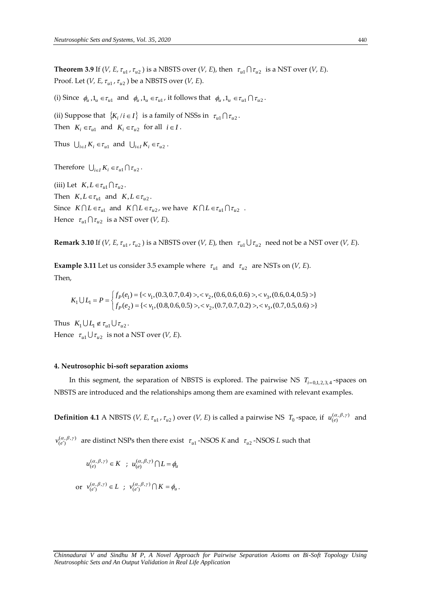**Theorem 3.9** If (*V, E,*  $\tau_{u1}$ ,  $\tau_{u2}$ ) is a NBSTS over (*V, E*), then  $\tau_{u1} \cap \tau_{u2}$  is a NST over (*V, E*). Proof. Let (*V, E,*  $\tau_{u1}$ *,*  $\tau_{u2}$  ) be a NBSTS over (*V, E*).

(i) Since  $\phi_u$ ,  $1_u \in \tau_{u1}$  and  $\phi_u$ ,  $1_u \in \tau_{u1}$ , it follows that  $\phi_u$ ,  $1_u \in \tau_{u1} \cap \tau_{u2}$ .

(ii) Suppose that  $\{K_i / i \in I\}$  is a family of NSSs in  $\tau_{u1} \cap \tau_{u2}$ . Then  $K_i \in \tau_{u1}$  and  $K_i \in \tau_{u2}$  for all  $i \in I$ .

Thus  $\bigcup_{i \in I} K_i \in \tau_{u1}$  and  $\bigcup_{i \in I} K_i \in \tau_{u2}$ .

```
Therefore \bigcup_{i \in I} K_i \in \tau_{u1} \cap \tau_{u2}.
```
(iii) Let  $K, L \in \tau_{u} \cap \tau_{u2}$ . Then  $K, L \in \tau_{u1}$  and  $K, L \in \tau_{u2}$ . Since  $K \cap L \in \tau_{u1}$  and  $K \cap L \in \tau_{u2}$ , we have  $K \cap L \in \tau_{u1} \cap \tau_{u2}$ . Hence  $\tau_{u1} \cap \tau_{u2}$  is a NST over (*V*, *E*).

**Remark 3.10** If (*V, E,*  $\tau_{u1}$ ,  $\tau_{u2}$ ) is a NBSTS over (*V, E*), then  $\tau_{u1} \cup \tau_{u2}$  need not be a NST over (*V, E*).

**Example 3.11** Let us consider 3.5 example where  $\tau_{u1}$  and  $\tau_{u2}$  are NSTs on (*V*, *E*). Then,

$$
K_1 \cup L_1 = P = \begin{cases} f_P(e_1) = \{ < v_1, (0.3, 0.7, 0.4) > \text{,} < v_2, (0.6, 0.6, 0.6) > \text{,} < v_3, (0.6, 0.4, 0.5) > \} \\ f_P(e_2) = \{ < v_1, (0.8, 0.6, 0.5) > \text{,} < v_2, (0.7, 0.7, 0.2) > \text{,} < v_3, (0.7, 0.5, 0.6) > \} \end{cases}
$$

Thus  $K_1 \cup L_1 \notin \tau_{u1} \cup \tau_{u2}$ . Hence  $\tau_{u1} \cup \tau_{u2}$  is not a NST over (*V*, *E*).

#### **4. Neutrosophic bi-soft separation axioms**

In this segment, the separation of NBSTS is explored. The pairwise NS  $T_{i=0,1,2,3,4}$ -spaces on NBSTS are introduced and the relationships among them are examined with relevant examples.

**Definition 4.1** A NBSTS (*V*, *E*,  $\tau_{u1}$ ,  $\tau_{u2}$ ) over (*V*, *E*) is called a pairwise NS  $T_0$ -space, if  $u_{(e)}^{(\alpha,\beta,\gamma)}$  and

 $v_{(e')}^{(\alpha,\beta,\gamma)}$  are distinct NSPs then there exist  $\tau_{u1}$ -NSOS *K* and  $\tau_{u2}$ -NSOS *L* such that

$$
u_{(e)}^{(\alpha,\beta,\gamma)} \in K \; ; \; u_{(e)}^{(\alpha,\beta,\gamma)} \cap L = \phi_u
$$

or  $v_{(e')}^{(\alpha,\beta,\gamma)} \in L$ ;  $v_{(e')}^{(\alpha,\beta,\gamma)} \cap K = \phi_u$ .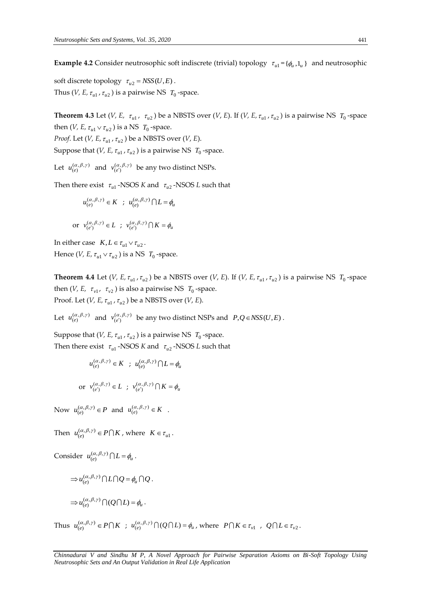**Example 4.2** Consider neutrosophic soft indiscrete (trivial) topology  $\tau_{u1} = {\phi_u, 1_u}$  and neutrosophic

soft discrete topology  $\tau_{u2} = NSS(U, E)$ . Thus (*V*, *E*,  $\tau_{u1}$ ,  $\tau_{u2}$  ) is a pairwise NS  $T_0$ -space.

**Theorem 4.3** Let (*V*, *E*,  $\tau_{u1}$ ,  $\tau_{u2}$ ) be a NBSTS over (*V*, *E*). If (*V*, *E*,  $\tau_{u1}$ ,  $\tau_{u2}$ ) is a pairwise NS  $T_0$ -space then (*V*, *E*,  $\tau_{u1} \vee \tau_{u2}$ ) is a NS  $T_0$ -space. *Proof.* Let  $(V, E, \tau_{u1}, \tau_{u2})$  be a NBSTS over  $(V, E)$ . Suppose that  $(V, E, \tau_{u1}, \tau_{u2})$  is a pairwise NS  $T_0$ -space.

Let  $u_{(e)}^{(\alpha,\beta,\gamma)}$  and  $v_{(e')}^{(\alpha,\beta,\gamma)}$  be any two distinct NSPs.

Then there exist  $\tau_{u1}$  -NSOS *K* and  $\tau_{u2}$  -NSOS *L* such that

$$
u_{(e)}^{(\alpha,\beta,\gamma)} \in K \; ; \; u_{(e)}^{(\alpha,\beta,\gamma)} \bigcap L = \phi_u
$$

or 
$$
v_{(e')}^{(\alpha,\beta,\gamma)} \in L
$$
;  $v_{(e')}^{(\alpha,\beta,\gamma)} \cap K = \phi_u$ 

In either case  $K, L \in \tau_{u1} \vee \tau_{u2}$ . Hence (*V*, *E*,  $\tau_{u1} \vee \tau_{u2}$ ) is a NS  $T_0$ -space.

**Theorem 4.4** Let (*V*, *E*,  $\tau_{u1}$ ,  $\tau_{u2}$ ) be a NBSTS over (*V*, *E*). If (*V*, *E*,  $\tau_{u1}$ ,  $\tau_{u2}$ ) is a pairwise NS  $T_0$ -space then (*V*, *E*,  $\tau_{v1}$ ,  $\tau_{v2}$  ) is also a pairwise NS  $T_0$ -space. Proof. Let  $(V, E, \tau_{u1}, \tau_{u2})$  be a NBSTS over  $(V, E)$ .

Let  $u_{(e)}^{(\alpha,\beta,\gamma)}$  and  $v_{(e')}^{(\alpha,\beta,\gamma)}$  be any two distinct NSPs and  $P,Q \in NSS(U,E)$ .

Suppose that  $(V, E, \tau_{ul}, \tau_{u2})$  is a pairwise NS  $T_0$ -space. Then there exist  $\tau_{u1}$  -NSOS *K* and  $\tau_{u2}$  -NSOS *L* such that

$$
u_{(e)}^{(\alpha,\beta,\gamma)} \in K \; ; \; u_{(e)}^{(\alpha,\beta,\gamma)} \bigcap L = \phi_u
$$

or 
$$
v_{(e')}^{(\alpha,\beta,\gamma)} \in L
$$
 ;  $v_{(e')}^{(\alpha,\beta,\gamma)} \cap K = \phi_u$ 

Now  $u_{(e)}^{(\alpha,\beta,\gamma)} \in P$  and  $u_{(e)}^{(\alpha,\beta,\gamma)} \in K$ .

Then  $u_{(e)}^{(\alpha,\beta,\gamma)} \in P \bigcap K$ , where  $K \in \tau_{ul}$ .

Consider 
$$
u_{(e)}^{(\alpha,\beta,\gamma)} \bigcap L = \phi_u
$$
.

$$
\Rightarrow u_{(e)}^{(\alpha,\beta,\gamma)} \cap L \cap Q = \phi_u \cap Q.
$$

$$
\Rightarrow u_{(e)}^{(\alpha,\beta,\gamma)} \cap (Q \cap L) = \phi_u.
$$

Thus  $u_{(e)}^{(\alpha,\beta,\gamma)} \in P \cap K$  ;  $u_{(e)}^{(\alpha,\beta,\gamma)} \cap (Q \cap L) = \phi_u$ , where  $P \cap K \in \tau_{v1}$ ,  $Q \cap L \in \tau_{v2}$ .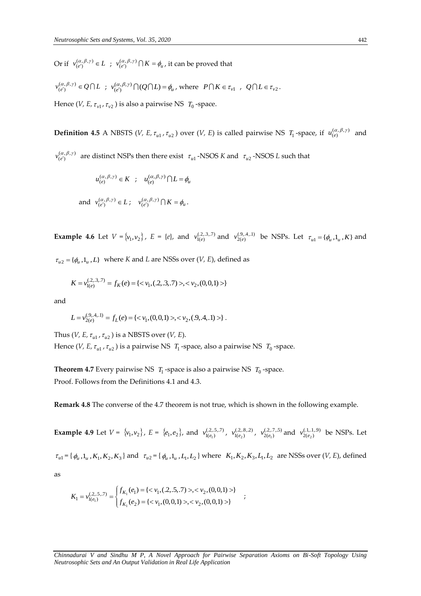Or if  $v_{(e')}^{(\alpha,\beta,\gamma)} \in L$ ;  $v_{(e')}^{(\alpha,\beta,\gamma)} \cap K = \phi_u$ , it can be proved that

 $v_{(e')}^{(\alpha,\beta,\gamma)} \in Q \cap L$ ;  $v_{(e')}^{(\alpha,\beta,\gamma)} \cap (Q \cap L) = \phi_u$ , where  $P \cap K \in \tau_{v1}$ ,  $Q \cap L \in \tau_{v2}$ .

Hence (*V, E,*  $\tau_{v1}$ *,*  $\tau_{v2}$  ) is also a pairwise NS  $T_0$ -space.

**Definition 4.5** A NBSTS (*V, E,*  $\tau_{u1}$ *,*  $\tau_{u2}$ *) over (<i>V, E*) is called pairwise NS  $T_1$ -space, if  $u_{(e)}^{(\alpha,\beta,\gamma)}$  and

 $v_{(e')}^{(\alpha,\beta,\gamma)}$  are distinct NSPs then there exist  $\tau_{u1}$ -NSOS *K* and  $\tau_{u2}$ -NSOS *L* such that

$$
u_{(e)}^{(\alpha,\beta,\gamma)} \in K \; ; \; u_{(e)}^{(\alpha,\beta,\gamma)} \cap L = \phi_u
$$
  
and 
$$
v_{(e')}^{(\alpha,\beta,\gamma)} \in L \; ; \; v_{(e')}^{(\alpha,\beta,\gamma)} \cap K = \phi_u.
$$

**Example 4.6** Let  $V = \{v_1, v_2\}$ ,  $E = \{e\}$ , and  $v_{1(e)}^{(2,3,3,7)}$  and  $v_{2(e)}^{(9,4,1,1)}$  be NSPs. Let  $\tau_{u1} = \{\phi_u, 1_u, K\}$  and

 $\tau_{u2} = {\phi_u, 1_u, L}$  where *K* and *L* are NSSs over (*V, E*), defined as

$$
K = v_{1(e)}^{(.2,.3,.7)} = f_K(e) = \{ \langle v_1, (.2,.3,.7) \rangle, \langle v_2, (0,0,1) \rangle \}
$$

and

$$
L = v_{2(e)}^{(9,4,1)} = f_L(e) = \{ \langle v_1, (0,0,1) \rangle, \langle v_2, (0,4,1) \rangle \}.
$$

Thus (*V, E,*  $\tau_{u1}$ ,  $\tau_{u2}$ ) is a NBSTS over (*V, E*). Hence (*V, E,*  $\tau_{u1}$ *,*  $\tau_{u2}$ ) is a pairwise NS  $T_1$ -space, also a pairwise NS  $T_0$ -space.

**Theorem 4.7** Every pairwise NS  $T_1$ -space is also a pairwise NS  $T_0$ -space. Proof. Follows from the Definitions 4.1 and 4.3.

**Remark 4.8** The converse of the 4.7 theorem is not true, which is shown in the following example.

**Example 4.9** Let  $V = \{v_1, v_2\}$ ,  $E = \{e_1, e_2\}$ , and  $v_{1(e_1)}^{(2,5,7)}$ ,  $v_{1(e_2)}^{(2,8,2)}$ ,  $v_{2(e_1)}^{(2,7,5)}$  and  $v_{2(e_2)}^{(1,1,1,9)}$  be NSPs. Let

 $\tau_{u1} = \{\phi_u, 1_u, K_1, K_2, K_3\}$  and  $\tau_{u2} = \{\phi_u, 1_u, L_1, L_2\}$  where  $K_1, K_2, K_3, L_1, L_2$  are NSSs over (*V*, *E*), defined

as

$$
K_1 = v_{1(e_1)}^{(.2,.5,.7)} = \begin{cases} f_{K_1}(e_1) = \{ < v_1, (.2,.5,.7) > , < v_2, (0,0,1) > \} \\ f_{K_1}(e_2) = \{ < v_1, (0,0,1) > , < v_2, (0,0,1) > \} \end{cases}
$$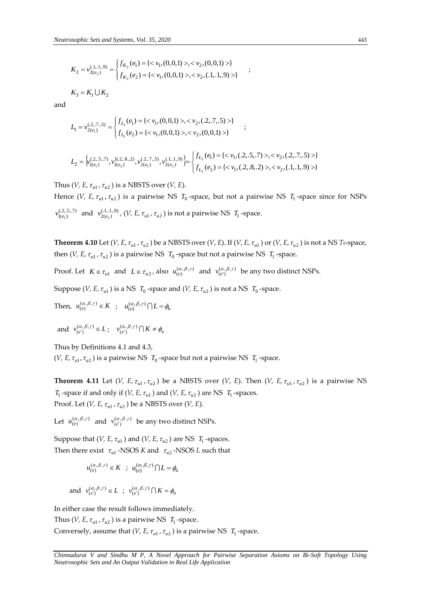$$
K_2 = v_{2(e_2)}^{(1,1,9)} = \begin{cases} f_{K_2}(e_1) = \{ < v_1, (0,0,1) > \, < v_2, (0,0,1) > \} \\ f_{K_2}(e_2) = \{ < v_1, (0,0,1) > \, < v_2, (1,1,9) > \} \end{cases}
$$

 $K_3 = K_1 \cup K_2$ 

and

$$
L_1 = \nu_{2(e_1)}^{(2.,7,5)} = \begin{cases} f_{L_1}(e_1) = \{ <\nu_1, (0,0,1)>, <\nu_2, (.2,.7,.5)>\} \\ f_{L_1}(e_2) = \{ <\nu_1, (0,0,1)>, <\nu_2, (0,0,1)>\} \end{cases} \hspace{3mm};
$$

$$
L_2 = \begin{cases} \gamma_{1(e_1)}(2,5,7) , \gamma_{1(e_2)}^{1(2,8,2)}, \gamma_{2(e_1)}^{(2,7,5)}, \gamma_{2(e_2)}^{(1,1,9)} \end{cases} = \begin{cases} f_{L_2}(e_1) = \{<\nu_1,(2,5,7)>, <\nu_2,(2,7,5)>\}\\ f_{L_2}(e_2) = \{<\nu_1,(2,8,2)>, <\nu_2,(1,1,9)>\}\end{cases}
$$

Thus (*V, E,*  $\tau_{u1}$ ,  $\tau_{u2}$ ) is a NBSTS over (*V, E*).

Hence (*V*, *E*,  $\tau_{u1}$ ,  $\tau_{u2}$ ) is a pairwise NS  $T_0$ -space, but not a pairwise NS  $T_1$ -space since for NSPs  $v_{1(e_1)}^{(2,5,7,7)}$  and  $v_{2(e_2)}^{(1,1,1,9)}$ , (*V*, *E*,  $\tau_{u1}$ ,  $\tau_{u2}$ ) is not a pairwise NS  $T_1$ -space.

;

**Theorem 4.10** Let (*V, E,*  $\tau_{u1}$ *,*  $\tau_{u2}$ *) be a NBSTS over (<i>V, E*). If (*V, E,*  $\tau_{u1}$ ) or (*V, E,*  $\tau_{u2}$ ) is not a NS *T*<sub>0</sub>-space, then  $(V, E, \tau_{u1}, \tau_{u2})$  is a pairwise NS  $T_0$ -space but not a pairwise NS  $T_1$ -space.

Proof. Let  $K \in \tau_{u1}$  and  $L \in \tau_{u2}$ , also  $u_{(e)}^{(\alpha,\beta,\gamma)}$  and  $v_{(e')}^{(\alpha,\beta,\gamma)}$  be any two distinct NSPs.

Suppose (*V, E,*  $\tau_{u1}$ ) is a NS  $T_0$  -space and (*V, E,*  $\tau_{u2}$ ) is not a NS  $T_0$  -space.

Then, 
$$
u_{(e)}^{(\alpha,\beta,\gamma)} \in K
$$
;  $u_{(e)}^{(\alpha,\beta,\gamma)} \cap L = \phi_u$ 

and 
$$
v_{(e')}^{(\alpha,\beta,\gamma)} \in L
$$
;  $v_{(e')}^{(\alpha,\beta,\gamma)} \cap K \neq \phi_u$ 

Thus by Definitions 4.1 and 4.3,

(*V*, *E*,  $\tau_{u1}$ ,  $\tau_{u2}$ ) is a pairwise NS  $T_0$ -space but not a pairwise NS  $T_1$ -space.

**Theorem 4.11** Let (*V*, *E*,  $\tau_{u1}$ ,  $\tau_{u2}$ ) be a NBSTS over (*V*, *E*). Then (*V*, *E*,  $\tau_{u1}$ ,  $\tau_{u2}$ ) is a pairwise NS *T*<sub>1</sub> -space if and only if (*V*, *E*,  $\tau_{u1}$ ) and (*V*, *E*,  $\tau_{u2}$ ) are NS *T*<sub>1</sub> -spaces. Proof. Let  $(V, E, \tau_{u1}, \tau_{u2})$  be a NBSTS over  $(V, E)$ .

Let  $u_{(e)}^{(\alpha,\beta,\gamma)}$  and  $v_{(e')}^{(\alpha,\beta,\gamma)}$  be any two distinct NSPs.

Suppose that  $(V, E, \tau_{u1})$  and  $(V, E, \tau_{u2})$  are NS  $T_1$ -spaces. Then there exist  $\tau_{u1}$  -NSOS *K* and  $\tau_{u2}$  -NSOS *L* such that

$$
u_{(e)}^{(\alpha,\beta,\gamma)} \in K \; ; \; u_{(e)}^{(\alpha,\beta,\gamma)} \bigcap L = \phi_u
$$

and 
$$
v_{(e')}^{(\alpha,\beta,\gamma)} \in L
$$
 ;  $v_{(e')}^{(\alpha,\beta,\gamma)} \cap K = \phi_u$ 

In either case the result follows immediately.

Thus (*V*, *E*,  $\tau_{u1}$ ,  $\tau_{u2}$ ) is a pairwise NS  $T_1$ -space. Conversely, assume that  $(V, E, \tau_{u1}, \tau_{u2})$  is a pairwise NS  $T_1$ -space.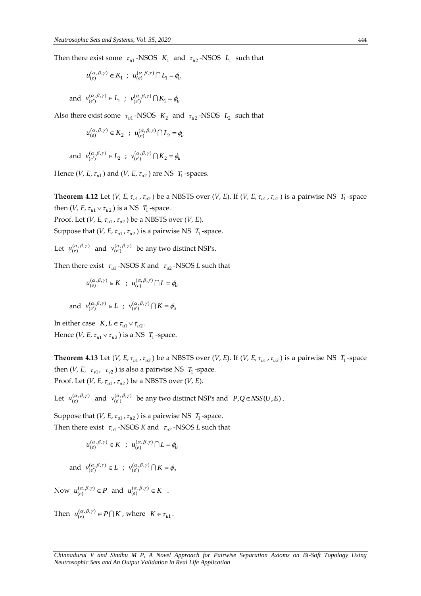Then there exist some  $\tau_{u1}$ -NSOS  $K_1$  and  $\tau_{u2}$ -NSOS  $L_1$  such that

$$
u_{(e)}^{(\alpha,\beta,\gamma)}\in K_1\ ;\ u_{(e)}^{(\alpha,\beta,\gamma)}\bigcap L_1=\phi_u
$$

and  $v_{(e')}^{(\alpha,\beta,\gamma)} \in L_1$ ;  $v_{(e')}^{(\alpha,\beta,\gamma)} \cap K_1 = \phi_u$ 

Also there exist some  $\tau_{ul}$ -NSOS  $K_2$  and  $\tau_{u2}$ -NSOS  $L_2$  such that

$$
u_{(e)}^{(\alpha,\beta,\gamma)} \in K_2 \; ; \; u_{(e)}^{(\alpha,\beta,\gamma)} \bigcap L_2 = \phi_u
$$

and  $v_{(e')}^{(\alpha,\beta,\gamma)} \in L_2$ ;  $v_{(e')}^{(\alpha,\beta,\gamma)} \cap K_2 = \phi_u$ 

Hence (*V*, *E*,  $\tau_{u1}$ ) and (*V*, *E*,  $\tau_{u2}$ ) are NS  $T_1$ -spaces.

**Theorem 4.12** Let (*V*, *E*,  $\tau_{u1}$ ,  $\tau_{u2}$ ) be a NBSTS over (*V*, *E*). If (*V*, *E*,  $\tau_{u1}$ ,  $\tau_{u2}$ ) is a pairwise NS  $T_1$ -space then (*V*, *E*,  $\tau_{u1} \vee \tau_{u2}$ ) is a NS  $T_1$ -space.

Proof. Let  $(V, E, \tau_{u1}, \tau_{u2})$  be a NBSTS over  $(V, E)$ .

Suppose that  $(V, E, \tau_{ul}, \tau_{u2})$  is a pairwise NS  $T_1$ -space.

Let  $u_{(e)}^{(\alpha,\beta,\gamma)}$  and  $v_{(e')}^{(\alpha,\beta,\gamma)}$  be any two distinct NSPs.

Then there exist  $\tau_{u1}$  -NSOS *K* and  $\tau_{u2}$  -NSOS *L* such that

$$
u_{(e)}^{(\alpha,\beta,\gamma)} \in K \; ; \; u_{(e)}^{(\alpha,\beta,\gamma)} \bigcap L = \phi_u
$$

and 
$$
v_{(e')}^{(\alpha,\beta,\gamma)} \in L
$$
;  $v_{(e')}^{(\alpha,\beta,\gamma)} \cap K = \phi_u$ 

In either case  $K, L \in \tau_{u1} \vee \tau_{u2}$ . Hence (*V*, *E*,  $\tau_{u1} \vee \tau_{u2}$ ) is a NS  $T_1$ -space.

**Theorem 4.13** Let (*V*, *E*,  $\tau_{u1}$ ,  $\tau_{u2}$ ) be a NBSTS over (*V*, *E*). If (*V*, *E*,  $\tau_{u1}$ ,  $\tau_{u2}$ ) is a pairwise NS  $T_1$ -space then  $(V, E, \tau_{v1}, \tau_{v2})$  is also a pairwise NS  $T_1$ -space. Proof. Let  $(V, E, \tau_{u1}, \tau_{u2})$  be a NBSTS over  $(V, E)$ .

Let  $u_{(e)}^{(\alpha,\beta,\gamma)}$  and  $v_{(e')}^{(\alpha,\beta,\gamma)}$  be any two distinct NSPs and  $P,Q \in NSS(U,E)$ .

Suppose that  $(V, E, \tau_{u1}, \tau_{u2})$  is a pairwise NS  $T_1$ -space. Then there exist  $\tau_{u1}$  -NSOS *K* and  $\tau_{u2}$  -NSOS *L* such that

$$
u_{(e)}^{(\alpha,\beta,\gamma)} \in K \; ; \; u_{(e)}^{(\alpha,\beta,\gamma)} \cap L = \phi_u
$$

and  $v_{(e')}^{(\alpha,\beta,\gamma)} \in L$ ;  $v_{(e')}^{(\alpha,\beta,\gamma)} \cap K = \phi_u$ 

Now  $u_{(e)}^{(\alpha,\beta,\gamma)} \in P$  and  $u_{(e)}^{(\alpha,\beta,\gamma)} \in K$ .

Then  $u_{(e)}^{(\alpha,\beta,\gamma)} \in P \bigcap K$ , where  $K \in \tau_{ul}$ .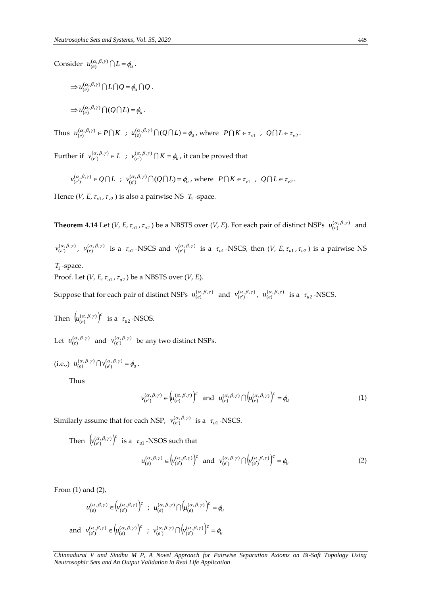Consider  $u_{(e)}^{(\alpha,\beta,\gamma)} \bigcap L = \phi_u$ .

$$
\Rightarrow u_{(e)}^{(\alpha,\beta,\gamma)} \cap L \cap Q = \phi_u \cap Q.
$$
  

$$
\Rightarrow u_{(e)}^{(\alpha,\beta,\gamma)} \cap (Q \cap L) = \phi_u.
$$

Thus  $u_{(e)}^{(\alpha,\beta,\gamma)} \in P \cap K$  ;  $u_{(e)}^{(\alpha,\beta,\gamma)} \cap (Q \cap L) = \phi_u$ , where  $P \cap K \in \tau_{v1}$ ,  $Q \cap L \in \tau_{v2}$ .

Further if  $v_{(e')}^{(\alpha,\beta,\gamma)} \in L$ ;  $v_{(e')}^{(\alpha,\beta,\gamma)} \cap K = \phi_u$ , it can be proved that

$$
v_{(e')}^{(\alpha,\beta,\gamma)} \in Q \cap L \; ; \; v_{(e')}^{(\alpha,\beta,\gamma)} \cap (Q \cap L) = \phi_u \text{, where } P \cap K \in \tau_{v1} \; , \; Q \cap L \in \tau_{v2}.
$$

Hence (*V*, *E*,  $\tau_{v1}$ ,  $\tau_{v2}$  ) is also a pairwise NS  $T_1$ -space.

**Theorem 4.14** Let (*V*, *E*,  $\tau_{u1}$ ,  $\tau_{u2}$ ) be a NBSTS over (*V*, *E*). For each pair of distinct NSPs  $u_{(e)}^{(\alpha,\beta,\gamma)}$  and

 $v_{(e')}^{(\alpha,\beta,\gamma)}$ ,  $u_{(e)}^{(\alpha,\beta,\gamma)}$  is a  $\tau_{u2}$ -NSCS and  $v_{(e')}^{(\alpha,\beta,\gamma)}$  is a  $\tau_{u1}$ -NSCS, then  $(V, E, \tau_{u1}, \tau_{u2})$  is a pairwise NS

*T*1 -space.

Proof. Let  $(V, E, \tau_{u1}, \tau_{u2})$  be a NBSTS over  $(V, E)$ .

Suppose that for each pair of distinct NSPs  $u_{(e)}^{(\alpha,\beta,\gamma)}$  and  $v_{(e')}^{(\alpha,\beta,\gamma)}$ ,  $u_{(e)}^{(\alpha,\beta,\gamma)}$  is a  $\tau_{u2}$ -NSCS.

Then  $\left(u_{(e)}^{(\alpha,\beta,\gamma)}\right)^c$  $(u_{(e)}^{(\alpha,\beta,\gamma)})^c$  is a  $\tau_{u2}$ -NSOS.

Let  $u_{(e)}^{(\alpha,\beta,\gamma)}$  and  $v_{(e')}^{(\alpha,\beta,\gamma)}$  be any two distinct NSPs.

(i.e.,) 
$$
u_{(e)}^{(\alpha,\beta,\gamma)} \bigcap v_{(e')}^{(\alpha,\beta,\gamma)} = \phi_u
$$
.

Thus

$$
v_{(e')}^{(\alpha,\beta,\gamma)} \in \left(u_{(e)}^{(\alpha,\beta,\gamma)}\right)^c \text{ and } u_{(e)}^{(\alpha,\beta,\gamma)} \cap \left(u_{(e)}^{(\alpha,\beta,\gamma)}\right)^c = \phi_u \tag{1}
$$

Similarly assume that for each NSP,  $v_{(e')}^{(\alpha,\beta,\gamma)}$  is a  $\tau_{u1}$  -NSCS.

Then  $(\nu_{(e')}^{(\alpha,\beta,\gamma)})^c$  $v_{(e')}^{(\alpha,\beta,\gamma)}\big)^c$  is a  $\tau_{u1}$  -NSOS such that

$$
u_{(e)}^{(\alpha,\beta,\gamma)} \in \left(v_{(e')}^{(\alpha,\beta,\gamma)}\right)^c \quad \text{and} \quad v_{(e')}^{(\alpha,\beta,\gamma)} \cap \left(v_{(e')}^{(\alpha,\beta,\gamma)}\right)^c = \phi_u \tag{2}
$$

From (1) and (2),

$$
u_{(e)}^{(\alpha,\beta,\gamma)} \in \left(v_{(e')}^{(\alpha,\beta,\gamma)}\right)^c \; ; \; u_{(e)}^{(\alpha,\beta,\gamma)} \cap \left(u_{(e)}^{(\alpha,\beta,\gamma)}\right)^c = \phi_u
$$
\n
$$
\text{and} \; v_{(e')}^{(\alpha,\beta,\gamma)} \in \left(u_{(e)}^{(\alpha,\beta,\gamma)}\right)^c \; ; \; v_{(e')}^{(\alpha,\beta,\gamma)} \cap \left(v_{(e')}^{(\alpha,\beta,\gamma)}\right)^c = \phi_u
$$

*Chinnadurai V and Sindhu M P, A Novel Approach for Pairwise Separation Axioms on Bi-Soft Topology Using Neutrosophic Sets and An Output Validation in Real Life Application*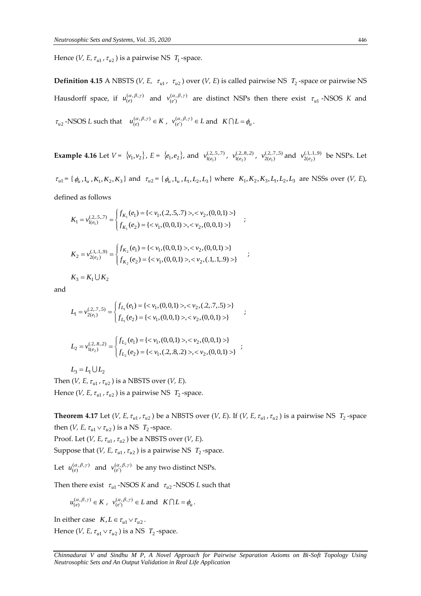Hence (*V*, *E*,  $\tau_{u1}$ ,  $\tau_{u2}$  ) is a pairwise NS  $T_1$ -space.

**Definition 4.15** A NBSTS (*V, E,*  $\tau_{u1}$ *,*  $\tau_{u2}$ ) over (*V, E*) is called pairwise NS  $T_2$ -space or pairwise NS Hausdorff space, if  $u_{(e)}^{(\alpha,\beta,\gamma)}$  and  $v_{(e')}^{(\alpha,\beta,\gamma)}$  are distinct NSPs then there exist  $\tau_{u1}$ -NSOS K and  $\tau_{u2}$ -NSOS *L* such that  $u_{(e)}^{(\alpha,\beta,\gamma)} \in K$ ,  $v_{(e')}^{(\alpha,\beta,\gamma)} \in L$  and  $K \cap L = \phi_u$ .

**Example 4.16** Let  $V = \{v_1, v_2\}$ ,  $E = \{e_1, e_2\}$ , and  $v_{1(e_1)}^{(2,5,7)}$ ,  $v_{1(e_2)}^{(2,8,2)}$ ,  $v_{2(e_1)}^{(2,7,5)}$  and  $v_{2(e_2)}^{(1,1,1,9)}$  be NSPs. Let

 $\tau_{u1} = \{\phi_u, 1_u, K_1, K_2, K_3\}$  and  $\tau_{u2} = \{\phi_u, 1_u, L_1, L_2, L_3\}$  where  $K_1, K_2, K_3, L_1, L_2, L_3$  are NSSs over  $(V, E)$ , defined as follows

;

$$
K_1 = \nu_{1(e_1)}^{(.2,,5,7)} = \begin{cases} f_{K_1}(e_1) = \{ <\nu_1, (.2,.5,.7) >, <\nu_2, (0,0,1) > \} \\ f_{K_1}(e_2) = \{ <\nu_1, (0,0,1) >, <\nu_2, (0,0,1) > \} \end{cases}
$$

$$
K_2 = \nu_{2(e_2)}^{(.1,.1,9)} = \begin{cases} f_{K_2}(e_1) = \{ <\nu_1, (0,0,1)>, <\nu_2, (0,0,1)>\}\\ f_{K_2}(e_2) = \{ <\nu_1, (0,0,1)>, <\nu_2, (.1,.1,9)>\}\end{cases},
$$

 $K_3 = K_1 \cup K_2$ 

and

$$
\begin{aligned} L_1 = v_{2(e_1)}^{(2,.7,5)} = & \begin{cases} f_{L_1}(e_1) = \{ ,  \} \\ f_{L_1}(e_2) = \{ , \} \end{cases} \\ L_2 = & v_{1(e_2)}^{(2,.8,2)} = \begin{cases} f_{L_2}(e_1) = \{ , \} \\ f_{L_2}(e_2) = \{ , \} \end{cases} \end{aligned}
$$

 $L_3 = L_1 \cup L_2$ 

Then  $(V, E, \tau_{u1}, \tau_{u2})$  is a NBSTS over  $(V, E)$ . Hence  $(V, E, \tau_{u1}, \tau_{u2})$  is a pairwise NS  $T_2$ -space.

**Theorem 4.17** Let (*V*, *E*,  $\tau_{u1}$ ,  $\tau_{u2}$ ) be a NBSTS over (*V*, *E*). If (*V*, *E*,  $\tau_{u1}$ ,  $\tau_{u2}$ ) is a pairwise NS  $T_2$ -space then (*V*, *E*,  $\tau_{u1} \vee \tau_{u2}$ ) is a NS  $T_2$ -space.

Proof. Let  $(V, E, \tau_{u1}, \tau_{u2})$  be a NBSTS over  $(V, E)$ .

Suppose that  $(V, E, \tau_{ul}, \tau_{u2})$  is a pairwise NS  $T_2$ -space.

Let  $u_{(e)}^{(\alpha,\beta,\gamma)}$  and  $v_{(e')}^{(\alpha,\beta,\gamma)}$  be any two distinct NSPs.

Then there exist  $\tau_{u1}$  -NSOS *K* and  $\tau_{u2}$  -NSOS *L* such that

$$
u_{(e)}^{(\alpha,\beta,\gamma)} \in K
$$
,  $v_{(e')}^{(\alpha,\beta,\gamma)} \in L$  and  $K \cap L = \phi_u$ .

In either case  $K, L \in \tau_{u1} \vee \tau_{u2}$ . Hence (*V*, *E*,  $\tau_{u1} \vee \tau_{u2}$ ) is a NS  $T_2$ -space.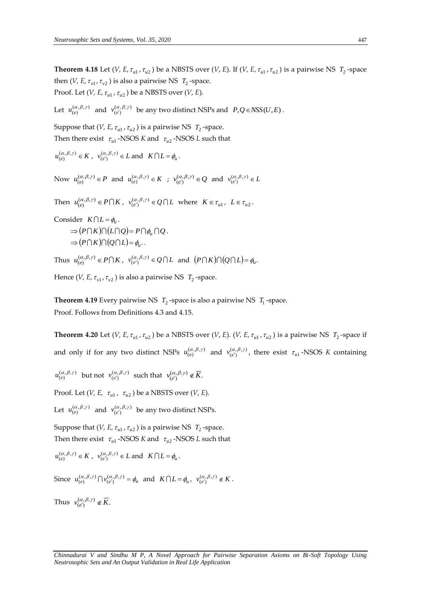**Theorem 4.18** Let (*V*, *E*,  $\tau_{u1}$ ,  $\tau_{u2}$ ) be a NBSTS over (*V*, *E*). If (*V*, *E*,  $\tau_{u1}$ ,  $\tau_{u2}$ ) is a pairwise NS  $T_2$ -space then (*V*, *E*,  $\tau_{v1}$ ,  $\tau_{v2}$  ) is also a pairwise NS  $T_2$ -space. Proof. Let  $(V, E, \tau_{u1}, \tau_{u2})$  be a NBSTS over  $(V, E)$ .

Let  $u_{(e)}^{(\alpha,\beta,\gamma)}$  and  $v_{(e')}^{(\alpha,\beta,\gamma)}$  be any two distinct NSPs and  $P,Q \in NSS(U,E)$ .

Suppose that  $(V, E, \tau_{u1}, \tau_{u2})$  is a pairwise NS  $T_2$ -space. Then there exist  $\tau_{ul}$  -NSOS *K* and  $\tau_{ul}$  -NSOS *L* such that

 $u_{(e)}^{(\alpha,\beta,\gamma)} \in K$ ,  $v_{(e')}^{(\alpha,\beta,\gamma)} \in L$  and  $K \cap L = \phi_u$ .

Now  $u_{(e)}^{(\alpha,\beta,\gamma)} \in P$  and  $u_{(e)}^{(\alpha,\beta,\gamma)} \in K$  ;  $v_{(e')}^{(\alpha,\beta,\gamma)} \in Q$  and  $v_{(e')}^{(\alpha,\beta,\gamma)} \in L$ 

Then  $u_{(e)}^{(\alpha,\beta,\gamma)} \in P \cap K$ ,  $v_{(e')}^{(\alpha,\beta,\gamma)} \in Q \cap L$  where  $K \in \tau_{u_1}$ ,  $L \in \tau_{u_2}$ .

Consider  $K \bigcap L = \phi_u$ .

$$
\Rightarrow (P \cap K) \cap (L \cap Q) = P \cap \phi_u \cap Q.
$$
  

$$
\Rightarrow (P \cap K) \cap (Q \cap L) = \phi_u.
$$

Thus  $u_{(e)}^{(\alpha,\beta,\gamma)} \in P \cap K$ ,  $v_{(e')}^{(\alpha,\beta,\gamma)} \in Q \cap L$  and  $(P \cap K) \cap (Q \cap L) = \phi_u$ .

Hence (*V, E,*  $\tau_{v1}$ *,*  $\tau_{v2}$  ) is also a pairwise NS  $T_2$ -space.

**Theorem 4.19** Every pairwise NS  $T_2$ -space is also a pairwise NS  $T_1$ -space. Proof. Follows from Definitions 4.3 and 4.15.

**Theorem 4.20** Let (*V*, *E*,  $\tau_{u1}$ ,  $\tau_{u2}$ ) be a NBSTS over (*V*, *E*). (*V*, *E*,  $\tau_{u1}$ ,  $\tau_{u2}$ ) is a pairwise NS  $T_2$ -space if and only if for any two distinct NSPs  $u_{(e)}^{(\alpha,\beta,\gamma)}$  and  $v_{(e')}^{(\alpha,\beta,\gamma)}$ , there exist  $\tau_{ul}$ -NSOS *K* containing

 $u_{(e)}^{(\alpha,\beta,\gamma)}$  but not  $v_{(e')}^{(\alpha,\beta,\gamma)}$  such that  $v_{(e')}^{(\alpha,\beta,\gamma)} \notin \overline{K}$ .

Proof. Let  $(V, E, \tau_{u1}, \tau_{u2})$  be a NBSTS over  $(V, E)$ .

Let  $u_{(e)}^{(\alpha,\beta,\gamma)}$  and  $v_{(e')}^{(\alpha,\beta,\gamma)}$  be any two distinct NSPs.

Suppose that  $(V, E, \tau_{ul}, \tau_{u2})$  is a pairwise NS  $T_2$ -space. Then there exist  $\tau_{u1}$  -NSOS *K* and  $\tau_{u2}$  -NSOS *L* such that

$$
u_{(e)}^{(\alpha,\beta,\gamma)} \in K
$$
,  $v_{(e')}^{(\alpha,\beta,\gamma)} \in L$  and  $K \cap L = \phi_u$ .

Since 
$$
u_{(e)}^{(\alpha,\beta,\gamma)} \cap v_{(e')}^{(\alpha,\beta,\gamma)} = \phi_u
$$
 and  $K \cap L = \phi_u$ ,  $v_{(e')}^{(\alpha,\beta,\gamma)} \notin K$ .

Thus  $v_{(e')}^{(\alpha,\beta,\gamma)} \notin \overline{K}$ .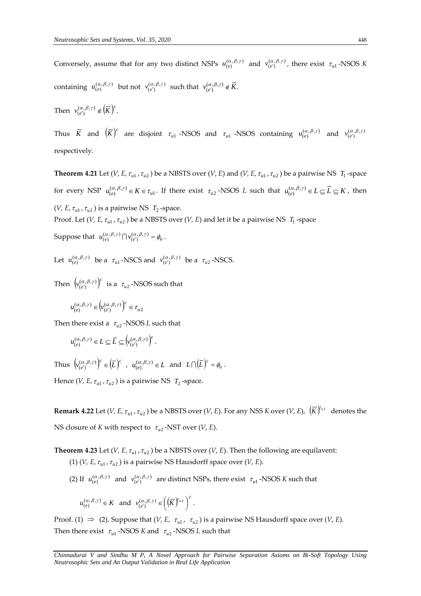Conversely, assume that for any two distinct NSPs  $u_{(e)}^{(\alpha,\beta,\gamma)}$  and  $v_{(e')}^{(\alpha,\beta,\gamma)}$ , there exist  $\tau_{u1}$ -NSOS K containing  $u_{(e)}^{(\alpha,\beta,\gamma)}$  but not  $v_{(e')}^{(\alpha,\beta,\gamma)}$  such that  $v_{(e')}^{(\alpha,\beta,\gamma)} \notin \overline{K}$ .

Then  $v_{(e')}^{(\alpha,\beta,\gamma)} \notin (\overline{K})^c$ .  $v_{(e')}^{(\alpha,\beta,\gamma)} \notin \left(\overline{K}\right)^c$ 

Thus  $\overline{K}$  and  $(\overline{K})^c$  are disjoint  $\tau_{u1}$  -NSOS and  $\tau_{u1}$  -NSOS containing  $u_{(e)}^{(\alpha,\beta,\gamma)}$  and  $v_{(e')}^{(\alpha,\beta,\gamma)}$ respectively.

**Theorem 4.21** Let (*V*, *E*,  $\tau_{u1}$ ,  $\tau_{u2}$ ) be a NBSTS over (*V*, *E*) and (*V*, *E*,  $\tau_{u1}$ ,  $\tau_{u2}$ ) be a pairwise NS  $T_1$ -space for every NSP  $u_{(e)}^{(\alpha,\beta,\gamma)} \in K \in \tau_{ul}$ . If there exist  $\tau_{u2}$ -NSOS *L* such that  $u_{(e)}^{(\alpha,\beta,\gamma)} \in L \subseteq \overline{L} \subseteq K$ , then (*V*, *E*,  $\tau_{u1}$ ,  $\tau_{u2}$ ) is a pairwise NS  $T_2$ -space.

Proof. Let (*V, E,*  $\tau_{u1}$  *,*  $\tau_{u2}$  ) be a NBSTS over (*V, E*) and let it be a pairwise NS  $\,$   $\,$   $\,$   $\,$   $\,$   $\,$   $\,$  -space

Suppose that  $u_{(e)}^{(\alpha,\beta,\gamma)} \bigcap v_{(e')}^{(\alpha,\beta,\gamma)} = \phi_u$ .

Let  $u_{(e)}^{(\alpha,\beta,\gamma)}$  be a  $\tau_{u1}$ -NSCS and  $v_{(e')}^{(\alpha,\beta,\gamma)}$  be a  $\tau_{u2}$ -NSCS.

Then  $(\nu_{(e')}^{(\alpha,\beta,\gamma)})^c$  $(v_{(e')}^{(\alpha,\beta,\gamma)})^c$  is a  $\tau_{u2}$ -NSOS such that

$$
u_{(e)}^{(\alpha,\beta,\gamma)}\in \left(v_{(e')}^{(\alpha,\beta,\gamma)}\right)^c\in \tau_{u2}
$$

Then there exist a  $\tau_{u2}$  -NSOS *L* such that

$$
u_{(e)}^{(\alpha,\beta,\gamma)} \in L \subseteq \overline{L} \subseteq \left( v_{(e')}^{(\alpha,\beta,\gamma)} \right)^c.
$$

Thus  $\left(v_{(e')}^{(\alpha,\beta,\gamma)}\right)^c \in (\overline{L})^c$  $\left(v_{(e')}^{(\alpha,\beta,\gamma)}\right)^c \in \left(\overline{L}\right)^c$  ,  $u_{(e)}^{(\alpha,\beta,\gamma)} \in L$  and  $L \cap \left(\overline{L}\right)^c = \phi_u$ .

Hence (*V*, *E*,  $\tau_{u1}$ ,  $\tau_{u2}$ ) is a pairwise NS  $T_2$ -space.

**Remark 4.22** Let (*V, E,*  $\tau_{u1}$ *,*  $\tau_{u2}$ ) be a NBSTS over (*V, E*). For any NSS *K* over (*V, E),*  $(\overline{K})^{\tau_{u2}}$  denotes the NS closure of *K* with respect to  $\tau_{u2}$ -NST over (*V, E*).

**Theorem 4.23** Let (*V, E,*  $\tau_{u1}$ *,*  $\tau_{u2}$ ) be a NBSTS over (*V, E*). Then the following are equilavent:  $(1)$   $(V, E, \tau_{u1}, \tau_{u2})$  is a pairwise NS Hausdorff space over  $(V, E)$ .

(2) If  $u_{(e)}^{(\alpha,\beta,\gamma)}$  and  $v_{(e')}^{(\alpha,\beta,\gamma)}$  are distinct NSPs, there exist  $\tau_{u1}$ -NSOS *K* such that

 $u_{(e)}^{(\alpha,\beta,\gamma)} \in K$  and  $v_{(e')}^{(\alpha,\beta,\gamma)} \in \left(\left(\overline{K}\right)^{r_{u2}}\right)^{c}$  $v_{(e')}^{(\alpha,\beta,\gamma)} \in \left(\left(\overline{K}\right)^{u_2}\right)$  $_{(e')}^{(\alpha,\beta,\gamma)} \in \left(\left(\overline{K}\right)^{\tau_{u2}}\right)^{c}.$ 

Proof. (1)  $\Rightarrow$  (2). Suppose that (*V*, *E*,  $\tau_{u1}$ ,  $\tau_{u2}$ ) is a pairwise NS Hausdorff space over (*V*, *E*). Then there exist  $\tau_{u1}$  -NSOS *K* and  $\tau_{u2}$  -NSOS *L* such that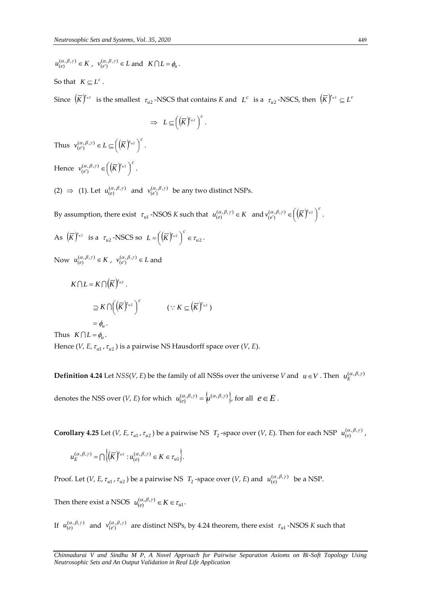$u_{(e)}^{(\alpha,\beta,\gamma)} \in K$ ,  $v_{(e')}^{(\alpha,\beta,\gamma)} \in L$  and  $K \cap L = \phi_u$ .

So that  $K \subseteq L^c$ .

Since  $(\overline{K})^{\tau_{u2}}$  is the smallest  $\tau_{u2}$ -NSCS that contains *K* and  $L^c$  is a  $\tau_{u2}$ -NSCS, then  $(\overline{K})^{\tau_{u2}} \subseteq L^c$ 

$$
\Rightarrow L \subseteq \left( \left( \overline{K} \right)^{r_{u2}} \right)^c.
$$

Thus  $v_{(e')}^{(\alpha,\beta,\gamma)} \in L \subseteq \left(\left(\overline{K}\right)^{r_{u2}}\right)^{c}$  $v_{(e')}^{(\alpha,\beta,\gamma)} \in L \subseteq \left(\left(\overline{K}\right)^{y_{u_2}}\right)$  $(\alpha, \beta, \gamma) \in L \subseteq \left( \left( \overline{K} \right)^{\tau_{u_2}} \right)^c.$ Hence  $v_{(e')}^{(\alpha,\beta,\gamma)} \in \left(\left(\overline{K}\right)^{r_{u2}}\right)^c$  $v_{(e')}^{(\alpha,\beta,\gamma)} \in \left(\left(\overline{K}\right)^{u_2}\right)$  $(\alpha, \beta, \gamma) \in \left( \left( \overline{K} \right)^{\tau_{u2}} \right)^{c}.$ 

(2)  $\Rightarrow$  (1). Let  $u_{(e)}^{(\alpha,\beta,\gamma)}$  and  $v_{(e')}^{(\alpha,\beta,\gamma)}$  be any two distinct NSPs.

By assumption, there exist  $\tau_{ul}$  -NSOS *K* such that  $u_{(e)}^{(\alpha,\beta,\gamma)} \in K$  and  $v_{(e')}^{(\alpha,\beta,\gamma)} \in \left(\left(\overline{K}\right)^{r_{u2}}\right)^{c}$  $v_{(e')}^{(\alpha,\beta,\gamma)} \in \left(\left(\overline{K}\right)^{r_{u_2}}\right)$  $\binom{(\alpha,\beta,\gamma)}{(\epsilon')} \in \left( \left( \overline{K} \right)^{\tau_{u2}} \right)^{\epsilon}.$ 

As 
$$
(\overline{K})^{\tau_{u^2}}
$$
 is a  $\tau_{u^2}$ -NSCS so  $L = ((\overline{K})^{\tau_{u^2}})^c \in \tau_{u^2}$ .

Now  $u_{(e)}^{(\alpha,\beta,\gamma)} \in K$ ,  $v_{(e')}^{(\alpha,\beta,\gamma)} \in L$  and

$$
K \cap L = K \cap (\overline{K})^{r_{u_2}}.
$$
  
\n
$$
\supseteq K \cap ((\overline{K})^{r_{u_2}})^c \qquad (\because K \subseteq (\overline{K})^{r_{u_2}})
$$
  
\n
$$
= \phi_u.
$$

Thus  $K \bigcap L = \phi_u$ .

Hence (*V, E,*  $\tau_{u1}$  *,*  $\tau_{u2}$  ) is a pairwise NS Hausdorff space over (*V, E*).

**Definition 4.24** Let  $NSS(V, E)$  be the family of all NSSs over the universe *V* and  $u \in V$ . Then  $u_E^{(\alpha, \beta, \gamma)}$ denotes the NSS over  $(V, E)$  for which  $u_{(e)}^{(\alpha,\beta,\gamma)} = \{u^{(\alpha,\beta,\gamma)}\}\}$ , for all  $e \in E$ .

**Corollary 4.25** Let (*V*, *E*,  $\tau_{u1}$ ,  $\tau_{u2}$ ) be a pairwise NS  $T_2$ -space over (*V*, *E*). Then for each NSP  $u_{(e)}^{(\alpha,\beta,\gamma)}$ ,

$$
u_E^{(\alpha,\beta,\gamma)} = \bigcap \bigg\{ \bigg(\overline{K}\bigg)^{\tau_{u_2}} : u_{(e)}^{(\alpha,\beta,\gamma)} \in K \in \tau_{u_1} \bigg\}.
$$

Proof. Let  $(V, E, \tau_{u1}, \tau_{u2})$  be a pairwise NS  $T_2$ -space over  $(V, E)$  and  $u_{(e)}^{(\alpha, \beta, \gamma)}$  be a NSP.

Then there exist a NSOS  $u_{(e)}^{(\alpha,\beta,\gamma)} \in K \in \tau_{ul}$ .

If  $u_{(e)}^{(\alpha,\beta,\gamma)}$  and  $v_{(e')}^{(\alpha,\beta,\gamma)}$  are distinct NSPs, by 4.24 theorem, there exist  $\tau_{u1}$ -NSOS *K* such that

*Chinnadurai V and Sindhu M P, A Novel Approach for Pairwise Separation Axioms on Bi-Soft Topology Using Neutrosophic Sets and An Output Validation in Real Life Application*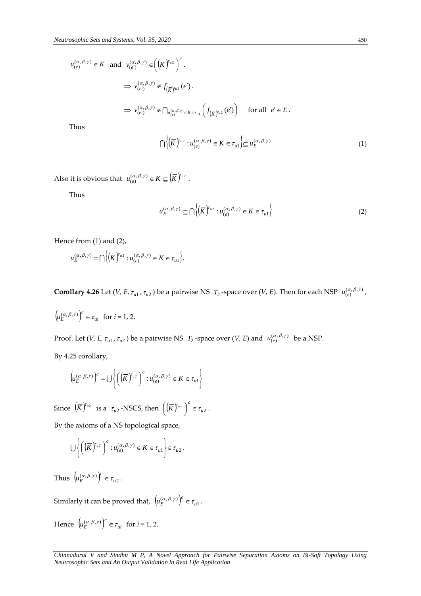$$
u_{(e)}^{(\alpha,\beta,\gamma)} \in K \text{ and } v_{(e')}^{(\alpha,\beta,\gamma)} \in \left(\left(\overline{K}\right)^{r_{u2}}\right)^{c}.
$$
  
\n
$$
\Rightarrow v_{(e')}^{(\alpha,\beta,\gamma)} \notin f_{\left(\overline{K}\right)^{r_{u2}}}(e').
$$
  
\n
$$
\Rightarrow v_{(e')}^{(\alpha,\beta,\gamma)} \notin \bigcap_{u_{(e)}^{(\alpha,\beta,\gamma)} \in K \in \mathcal{I}_{u1}} \left(f_{\left(\overline{K}\right)^{r_{u2}}}(e')\right) \text{ for all } e' \in E.
$$
  
\nThus

Thus

$$
\bigcap \left\{ \left( \overline{K} \right)^{r_{u2}} : u_{(e)}^{(\alpha,\beta,\gamma)} \in K \in \tau_{u1} \right\} \subseteq u_E^{(\alpha,\beta,\gamma)} \tag{1}
$$

Also it is obvious that  $u_{(e)}^{(\alpha,\beta,\gamma)} \in K \subseteq \left(\overline{K}\right)^{r_{u2}}$ .

Thus

$$
u_E^{(\alpha,\beta,\gamma)} \subseteq \bigcap \left\{ \left( \overline{K} \right)^{\tau_{u_2}} : u_{(e)}^{(\alpha,\beta,\gamma)} \in K \in \tau_{u_1} \right\}
$$
 (2)

Hence from (1) and (2),

$$
u_E^{(\alpha,\beta,\gamma)} = \bigcap \bigg\{ \bigg(\overline{K}\bigg)^{\tau_{u_2}} : u_{(e)}^{(\alpha,\beta,\gamma)} \in K \in \tau_{u_1} \bigg\}.
$$

**Corollary 4.26** Let (*V*, *E*,  $\tau_{u1}$ ,  $\tau_{u2}$ ) be a pairwise NS  $T_2$ -space over (*V*, *E*). Then for each NSP  $u_{(e)}^{(\alpha,\beta,\gamma)}$ ,

$$
\left(u_E^{(\alpha,\beta,\gamma)}\right)^c \in \tau_{ui} \ \text{ for } i = 1, 2.
$$

Proof. Let  $(V, E, \tau_{u1}, \tau_{u2})$  be a pairwise NS  $T_2$ -space over  $(V, E)$  and  $u_{(e)}^{(\alpha, \beta, \gamma)}$  be a NSP.

By 4.25 corollary,

$$
\left(u_E^{(\alpha,\beta,\gamma)}\right)^c = \bigcup \left\{ \left(\left(\overline{K}\right)^{r_{u2}}\right)^c : u_{(e)}^{(\alpha,\beta,\gamma)} \in K \in \tau_{u1} \right\}
$$

Since  $(\overline{K})^{\Gamma_{u_2}}$  is a  $\tau_{u_2}$ -NSCS, then  $((\overline{K})^{\Gamma_{u_2}})^{\Gamma_{u_2}} \in \tau_{u_2}$  $(\overline{K})^{r_{u2}}$ <sup>c</sup>  $\in \tau$  $\left( \left( \overline{K}\right) ^{x_{u2}}\right)$  $\left(\left(\overline{K}\right)^{\tau_{u2}}\right)^{c}\in\tau_{u2}.$ 

By the axioms of a NS topological space,

$$
\bigcup \left\{ \left( \left( \overline{K} \right)^{r_{u2}} \right)^{c} : u_{(e)}^{(\alpha,\beta,\gamma)} \in K \in \tau_{u1} \right\} \in \tau_{u2}.
$$

Thus  $\left(u_E^{(\alpha,\beta,\gamma)}\right)^c \in \tau_{u2}$ *c*  $\left(u_E^{(\alpha,\beta,\gamma)}\right)^c \in \tau_{u2}.$ 

Similarly it can be proved that,  $\left(u_E^{(\alpha,\beta,\gamma)}\right)^c \in \tau_{ul}$ *c*  $\left(\mu_E^{(\alpha,\beta,\gamma)}\right)^c \in \tau_{ul}$ .

Hence 
$$
(u_E^{(\alpha,\beta,\gamma)})^c \in \tau_{ui}
$$
 for  $i = 1, 2$ .

*Chinnadurai V and Sindhu M P, A Novel Approach for Pairwise Separation Axioms on Bi-Soft Topology Using Neutrosophic Sets and An Output Validation in Real Life Application*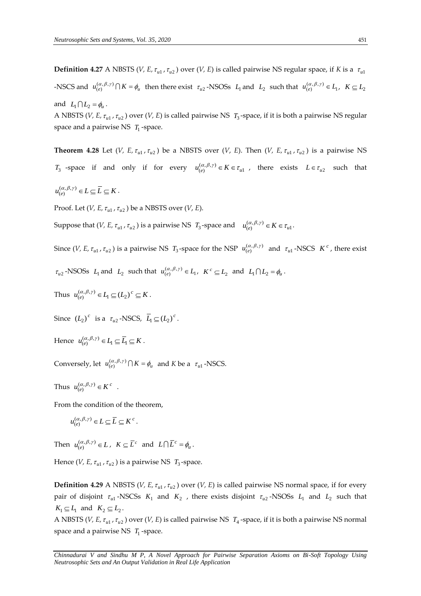**Definition 4.27** A NBSTS (*V, E,*  $\tau_{u1}$ *,*  $\tau_{u2}$ ) over (*V, E*) is called pairwise NS regular space, if *K* is a  $\tau_{u1}$  $\mathcal{L}$  -NSCS and  $u_{(e)}^{(\alpha,\beta,\gamma)} \cap K = \phi_u$  then there exist  $\tau_{u2}$ -NSOSs  $L_1$  and  $L_2$  such that  $u_{(e)}^{(\alpha,\beta,\gamma)} \in L_1$ ,  $K \subseteq L_2$ and  $L_1 \cap L_2 = \phi_u$ .

A NBSTS (*V*, *E*,  $\tau_{u1}$ ,  $\tau_{u2}$ ) over (*V*, *E*) is called pairwise NS  $T_3$ -space, if it is both a pairwise NS regular space and a pairwise NS T<sub>1</sub>-space.

**Theorem 4.28** Let (*V*, *E*,  $\tau_{u1}$ ,  $\tau_{u2}$ ) be a NBSTS over (*V*, *E*). Then (*V*, *E*,  $\tau_{u1}$ ,  $\tau_{u2}$ ) is a pairwise NS *T*<sub>3</sub> -space if and only if for every  $u_{(e)}^{(\alpha,\beta,\gamma)} \in K \in \tau_{u}$ , there exists  $L \in \tau_{u}$  such that

 $u_{(e)}^{(\alpha,\beta,\gamma)} \in L \subseteq \overline{L} \subseteq K$ .

Proof. Let  $(V, E, \tau_{u1}, \tau_{u2})$  be a NBSTS over  $(V, E)$ .

Suppose that  $(V, E, \tau_{u1}, \tau_{u2})$  is a pairwise NS  $T_3$ -space and  $u_{(e)}^{(\alpha,\beta,\gamma)} \in K \in \tau_{u1}$ .

Since (*V*, *E*,  $\tau_{u1}$ ,  $\tau_{u2}$ ) is a pairwise NS  $T_3$ -space for the NSP  $u_{(e)}^{(\alpha,\beta,\gamma)}$  and  $\tau_{u1}$ -NSCS  $K^c$ , there exist

 $\tau_{u2}$ -NSOSs  $L_1$  and  $L_2$  such that  $u_{(e)}^{(\alpha,\beta,\gamma)} \in L_1$ ,  $K^c \subseteq L_2$  and  $L_1 \cap L_2 = \phi_u$ .

Thus  $u_{(e)}^{(\alpha,\beta,\gamma)} \in L_1 \subseteq (L_2)^c \subseteq K$ .

Since  $(L_2)^c$  is a  $\tau_{u2}$ -NSCS,  $\overline{L}_1 \subseteq (L_2)^c$ .

Hence  $u_{(e)}^{(\alpha,\beta,\gamma)} \in L_1 \subseteq \overline{L}_1 \subseteq K$ .

Conversely, let  $u_{(e)}^{(\alpha,\beta,\gamma)} \cap K = \phi_u$  and *K* be a  $\tau_u$ <sub>1</sub>-NSCS.

Thus  $u_{(e)}^{(\alpha,\beta,\gamma)} \in K^c$ .

From the condition of the theorem,

$$
u_{(e)}^{(\alpha,\beta,\gamma)} \in L \subseteq \overline{L} \subseteq K^{c}.
$$

Then  $u_{(e)}^{(\alpha,\beta,\gamma)} \in L$ ,  $K \subseteq \overline{L}^c$  and  $L \cap \overline{L}^c = \phi_u$ .

Hence (*V*, *E*,  $\tau_{u1}$ ,  $\tau_{u2}$  ) is a pairwise NS  $T_3$ -space.

**Definition 4.29** A NBSTS (*V, E,*  $\tau_{u1}$ *,*  $\tau_{u2}$ ) over (*V, E*) is called pairwise NS normal space, if for every pair of disjoint  $\tau_{u1}$ -NSCSs  $K_1$  and  $K_2$  , there exists disjoint  $\tau_{u2}$ -NSOSs  $L_1$  and  $L_2$  such that  $K_1 \subseteq L_1$  and  $K_2 \subseteq L_2$ .

A NBSTS (*V*, *E*,  $\tau_{u1}$ ,  $\tau_{u2}$ ) over (*V*, *E*) is called pairwise NS  $T_4$ -space, if it is both a pairwise NS normal space and a pairwise NS T<sub>1</sub>-space.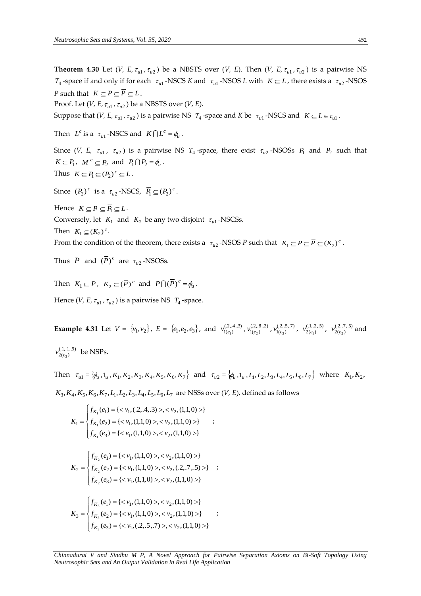**Theorem 4.30** Let (*V*, *E*,  $\tau_{u1}$ ,  $\tau_{u2}$ ) be a NBSTS over (*V*, *E*). Then (*V*, *E*,  $\tau_{u1}$ ,  $\tau_{u2}$ ) is a pairwise NS  $T_4$ -space if and only if for each  $\tau_{u1}$ -NSCS *K* and  $\tau_{u1}$ -NSOS *L* with  $K \subseteq L$ , there exists a  $\tau_{u2}$ -NSOS *P* such that  $K \subseteq P \subseteq \overline{P} \subseteq L$ .

Proof. Let  $(V, E, \tau_{u1}, \tau_{u2})$  be a NBSTS over  $(V, E)$ .

Suppose that  $(V, E, \tau_{u1}, \tau_{u2})$  is a pairwise NS  $T_4$ -space and *K* be  $\tau_{u1}$ -NSCS and  $K \subseteq L \in \tau_{u1}$ .

Then  $L^c$  is a  $\tau_{u1}$ -NSCS and  $K \cap L^c = \phi_u$ .

Since (*V*, *E*,  $\tau_{u1}$ ,  $\tau_{u2}$ ) is a pairwise NS  $T_4$ -space, there exist  $\tau_{u2}$ -NSOSs  $P_1$  and  $P_2$  such that  $K \subseteq P_1$ ,  $M^c \subseteq P_2$  and  $P_1 \cap P_2 = \phi_u$ . Thus  $K \subseteq P_1 \subseteq (P_2)^c \subseteq L$ .

Since  $(P_2)^c$  is a  $\tau_{u2}$ -NSCS,  $\overline{P_1} \subseteq (P_2)^c$ .

Hence  $K \subseteq P_1 \subseteq \overline{P_1} \subseteq L$ . Conversely, let  $K_1$  and  $K_2$  be any two disjoint  $\tau_{ul}$ -NSCSs. Then  $K_1 \subseteq (K_2)^c$ .

From the condition of the theorem, there exists a  $\tau_{u2}$ -NSOS *P* such that  $K_1 \subseteq P \subseteq \overline{P} \subseteq (K_2)^c$ .

Thus *P* and  $(\overline{P})^c$  are  $\tau_{u2}$ -NSOSs.

Then  $K_1 \subseteq P$ ,  $K_2 \subseteq (\overline{P})^c$  and  $P \cap (\overline{P})^c = \phi_u$ .

Hence  $(V, E, \tau_{u1}, \tau_{u2})$  is a pairwise NS  $T_4$ -space.

**Example 4.31** Let  $V = \{v_1, v_2\}$ ,  $E = \{e_1, e_2, e_3\}$ , and  $v_{1(e_1)}^{(2,4,3)}$ ,  $v_{1(e_2)}^{(2,8,2)}$ ,  $v_{1(e_3)}^{(2,5,7)}$ ,  $v_{2(e_1)}^{(1,2,5)}$ ,  $v_{2(e_2)}^{(2,7,5)}$  and  $v_{2(e_3)}^{(.1,.1,9)}$  be NSPs.

Then  $\tau_{u1} = \{ \phi_u, 1_u, K_1, K_2, K_3, K_4, K_5, K_6, K_7 \}$  and  $\tau_{u2} = \{ \phi_u, 1_u, L_1, L_2, L_3, L_4, L_5, L_6, L_7 \}$  where  $K_1, K_2, K_3, K_4, K_5, K_6, K_7 \}$  $K_3, K_4, K_5, K_6, K_7, L_1, L_2, L_3, L_4, L_5, L_6, L_7$  are NSSs over  $(V, E)$ , defined as follows

$$
K_1 = \begin{cases} f_{K_1}(e_1) = \{ < v_1, (.2, .4, .3) >, < v_2, (1,1,0) > \} \\ f_{K_1}(e_2) = \{ < v_1, (1,1,0) >, < v_2, (1,1,0) > \} \\ f_{K_1}(e_3) = \{ < v_1, (1,1,0) >, < v_2, (1,1,0) > \} \end{cases}
$$
\n
$$
K_2 = \begin{cases} f_{K_2}(e_1) = \{ < v_1, (1,1,0) >, < v_2, (1,1,0) > \} \\ f_{K_2}(e_2) = \{ < v_1, (1,1,0) >, < v_2, (.2, .7, .5) > \} \\ f_{K_2}(e_3) = \{ < v_1, (1,1,0) >, < v_2, (1,1,0) > \} \end{cases}
$$
\n
$$
K_3 = \begin{cases} f_{K_3}(e_1) = \{ < v_1, (1,1,0) >, < v_2, (1,1,0) > \} \\ f_{K_3}(e_2) = \{ < v_1, (1,1,0) >, < v_2, (1,1,0) > \} \\ f_{K_3}(e_3) = \{ < v_1, (.2, .5, .7) >, < v_2, (1,1,0) > \} \end{cases}
$$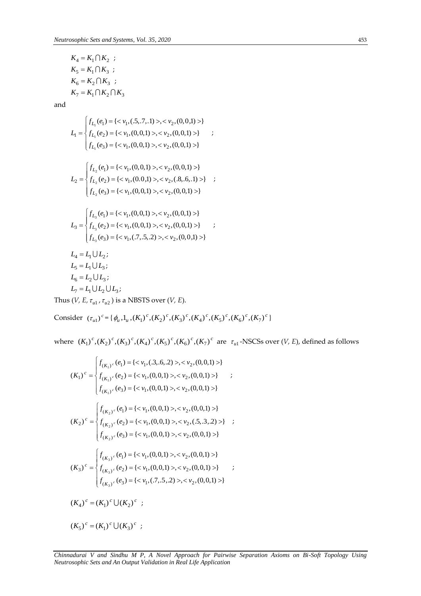$$
K_4 = K_1 \cap K_2 ;
$$
  
\n
$$
K_5 = K_1 \cap K_3 ;
$$
  
\n
$$
K_6 = K_2 \cap K_3 ;
$$
  
\n
$$
K_7 = K_1 \cap K_2 \cap K_3
$$

K<sub>4</sub> = K<sub>1</sub> ∩ K<sub>2</sub> ;  
\nK<sub>5</sub> = K<sub>1</sub> ∩ K<sub>3</sub> ;  
\nK<sub>6</sub> = K<sub>2</sub> ∩ K<sub>3</sub> ;  
\nK<sub>7</sub> = K<sub>1</sub> ∩ K<sub>2</sub> ∩ K<sub>3</sub>  
\nand  
\n
$$
L_1 =\begin{cases}\nf_{L_1}(e_1) = { < v_1, (5, 7, 1) >, < v_2, (0, 0, 1) >}\\ f_{L_1}(e_2) = { < v_1, (0, 0, 1) >, < v_2, (0, 0, 1) >}\\ f_{L_2}(e_1) = { < v_1, (0, 0, 1) >, < v_2, (0, 0, 1) >}\\ f_{L_2}(e_1) = { < v_1, (0, 0, 1) >, < v_2, (0, 0, 1) >}\\ f_{L_2}(e_2) = { < v_1, (0, 0, 1) >, < v_2, (0, 0, 1) >}\\ f_{L_2}(e_3) = { < v_1, (0, 0, 1) >, < v_2, (0, 0, 1) >}\\ f_{L_3}(e_2) = { < v_1, (0, 0, 1) >, < v_2, (0, 0, 1) >}\\ f_{L_4}(e_3) = { < v_1, (0, 0, 1) >, < v_2, (0, 0, 1) >}\\ f_{L_5}(e_3) = { < v_1, (0, 0, 1) >, < v_2, (0, 0, 1) >}\\ f_{L_6}(e_3) = { < v_1, (0, 0, 1) >, < v_2, (0, 0, 1) >}\\ f_{L_7}(e_3) = { < v_1, (0, 0, 1) >, < v_2, (0, 0, 1) >}\\ f_{L_8}(e_2) = { < v_1, (0, 0, 1) >, < v
$$

Consider  $(\tau_{u1})^c = {\phi_u, 1_u, (K_1)^c, (K_2)^c, (K_3)^c, (K_4)^c, (K_5)^c, (K_6)^c, (K_7)^c}$ 

where  $(K_1)^c$ ,  $(K_2)^c$ ,  $(K_3)^c$ ,  $(K_4)^c$ ,  $(K_5)^c$ ,  $(K_6)^c$ ,  $(K_7)^c$  are  $\tau_{u1}$ -NSCSs over  $(V, E)$ , defined as follows

$$
(K_1)^c = \begin{cases} f_{(K_1)^c}(e_1) = \{< v_1, (.3, .6, .2) >, < v_2, (0, 0, 1) >\} \\ f_{(K_1)^c}(e_2) = \{< v_1, (0, 0, 1) >, < v_2, (0, 0, 1) >\} \\ f_{(K_1)^c}(e_3) = \{< v_1, (0, 0, 1) >, < v_2, (0, 0, 1) >\} \end{cases}
$$
\n
$$
(K_2)^c = \begin{cases} f_{(K_2)^c}(e_1) = \{< v_1, (0, 0, 1) >, < v_2, (0, 0, 1) >\} \\ f_{(K_2)^c}(e_2) = \{< v_1, (0, 0, 1) >, < v_2, (.5, .3, .2) >\} \\ f_{(K_2)^c}(e_3) = \{< v_1, (0, 0, 1) >, < v_2, (0, 0, 1) >\} \end{cases}
$$
\n
$$
(K_3)^c = \begin{cases} f_{(K_3)^c}(e_1) = \{< v_1, (0, 0, 1) >, < v_2, (0, 0, 1) >\} \\ f_{(K_3)^c}(e_2) = \{< v_1, (0, 0, 1) >, < v_2, (0, 0, 1) >\} \\ f_{(K_3)^c}(e_3) = \{< v_1, (.7, .5, .2) >, < v_2, (0, 0, 1) >\} \end{cases}
$$
\n
$$
(K_4)^c = (K_1)^c \cup (K_2)^c
$$
\n
$$
(K_5)^c = (K_1)^c \cup (K_3)^c
$$

*Chinnadurai V and Sindhu M P, A Novel Approach for Pairwise Separation Axioms on Bi-Soft Topology Using*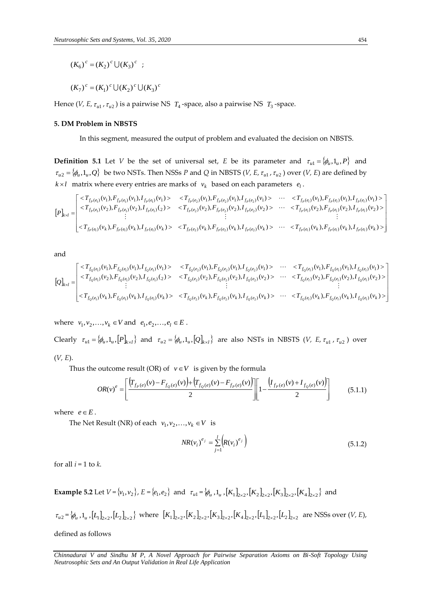$(K_6)^c = (K_2)^c \cup (K_3)^c$ ;

 $(K_7)^c = (K_1)^c \cup (K_2)^c \cup (K_3)^c$ 

Hence (*V, E, t<sub>u1</sub>, t<sub>u2</sub>*) is a pairwise NS *T*<sub>4</sub>-space, also a pairwise NS *T*<sub>3</sub>-space.

#### **5. DM Problem in NBSTS**

In this segment, measured the output of problem and evaluated the decision on NBSTS.

**Definition 5.1** Let *V* be the set of universal set, *E* be its parameter and  $\tau_{u1} = {\phi_u, 1_u, P}$  and  $\tau_{u2} = \{\phi_u, 1_u, Q\}$  be two NSTs. Then NSSs *P* and *Q* in NBSTS (*V, E,*  $\tau_{u1}$ ,  $\tau_{u2}$ ) over (*V, E*) are defined by  $k \times l$  matrix where every entries are marks of  $v_k$  based on each parameters  $e_l$ . be two NSTs. Then NSSs P and Q in NBSTS  $(V, E, \tau_{u1}, \tau_{u2})$  over  $(V, E)$  are defined by<br>here every entries are marks of  $v_k$  based on each parameters  $e_l$ .<br> $(v_1), F_{f_P(e_l)}(v_1), I_{f_P(e_l)}(v_1) > \langle T_{f_P(e_2)}(v_1), F_{f_P(e_2)}(v_1), I_{f_P(e_2)}($ 

$$
\tau_{u2} = \langle \varphi_u, \mathbf{1}_u, \mathbf{Q} \rangle
$$
 be two NS1s. Then NS5s *P* and *Q* in NB515 (*V*, *E*,  $\tau_{u1}$ ,  $\tau_{u2}$ ) over (*V*, *E*) are defined by  
\n*k*×*l* matrix where every entries are marks of  $v_k$  based on each parameters  $e_l$ .  
\n
$$
\begin{bmatrix}\n\langle T_{f_P(e_1)}(v_1), F_{f_P(e_1)}(v_1), I_{f_P(e_1)}(v_1) \rangle & \langle T_{f_P(e_2)}(v_1), F_{f_P(e_2)}(v_1), I_{f_P(e_2)}(v_1) \rangle & \cdots & \langle T_{f_P(e_l)}(v_1), F_{f_P(e_l)}(v_1) \rangle \\
\langle T_{f_P(e_1)}(v_2), F_{f_P(e_1)}(v_2), I_{f_P(e_1)}(v_2) \rangle & \langle T_{f_P(e_2)}(v_2), F_{f_P(e_2)}(v_2), I_{f_P(e_2)}(v_2) \rangle & \cdots & \langle T_{f_P(e_l)}(v_2), F_{f_P(e_l)}(v_2), I_{f_P(e_l)}(v_2) \rangle \\
\vdots & \vdots & \vdots \\
\langle T_{f_P(e_1)}(v_k), F_{f_P(e_1)}(v_k), I_{f_P(e_1)}(v_k) \rangle & \langle T_{f_P(e_2)}(v_k), F_{f_P(e_2)}(v_k), I_{f_P(e_2)}(v_k) \rangle & \cdots & \langle T_{f_P(e_l)}(v_k), F_{f_P(e_l)}(v_k), I_{f_P(e_l)}(v_k) \rangle\n\end{bmatrix}
$$

and

 ( ) , ( ) , ( ) ( ) , ( ) , ( ) ( ) , ( ) , ( ) ( ) , ( ) , ( ) ( ) , ( ) , ( ) ( ) , ( ) , ( ) ( ) , ( ) , ( ) ( ) , ( ) , ( ) ( ) , ( ) , ( ) ( ) ( ) ( ) ( ) ( ) ( ) ( ) ( ) ( ) ( ) 2 ( ) 2 ( ) 2 ( ) 2 ( ) 2 ( ) 2 ( ) 2 ( ) 2 ( ) 2 ( ) 1 ( ) 1 ( ) 1 ( ) 1 ( ) 1 ( ) 1 ( ) 1 ( ) 1 ( ) 1 1 1 1 2 2 2 1 1 1 2 2 2 1 1 1 2 2 2 *f e k f e k f e k f e k f e k f e k f e k f e k f e k f e f e f e f e f e f e f e f e f e f e f e f e f e f e f e f e f e f e k l T v F v I v T v F v I v T v F v I v T v F v I T v F v I v T v F v I v T v F v I v T v F v I v T v F v I v Q Q Q Q Q Q Q Q l Q l Q l Q Q Q Q Q Q Q l Q l Q l Q Q Q Q Q Q Q l Q l Q l* 

where  $v_1, v_2, ..., v_k \in V$  and  $e_1, e_2, ..., e_l \in E$ .

Clearly  $\tau_{u1} = \{\phi_u, 1_u, [P]_{k \times l}\}\$ and  $\tau_{u2} = \{\phi_u, 1_u, [Q]_{k \times l}\}\$ are also NSTs in NBSTS (*V, E,*  $\tau_{u1}$ ,  $\tau_{u2}$ ) over (*V, E*).

Thus the outcome result (OR) of  $v \in V$  is given by the formula

$$
OR(v)^{e} = \left[ \frac{\left(T_{f_{P}(e)}(v) - F_{f_{Q}(e)}(v)\right) + \left(T_{f_{Q}(e)}(v) - F_{f_{P}(e)}(v)\right)}{2} \right] \left[1 - \frac{\left(I_{f_{P}(e)}(v) + I_{f_{Q}(e)}(v)\right)}{2}\right]
$$
(5.1.1)

where  $e \in E$ .

The Net Result (NR) of each  $v_1, v_2, ..., v_k \in V$  is

$$
NR(v_i)^{e_j} = \sum_{j=1}^{l} \left( R(v_i)^{e_j} \right)
$$
\n(5.1.2)

for all  $i = 1$  to  $k$ .

 $(K_0)^c = (K_2)^c \cup (K_3)^c$ <br>  $(K_7)^c = (K_1)^c \cup (K_2)^c \cup (K_3)^c$ <br>
Hence  $(V, E, r_{d1}, r_{d2})$  is a pairwise NS  $T_a$ -space, also a p<br>
5. DM Problem in NBSTS<br> **DEUTRON INTERS**<br>
DENTAINTY TO BE UVENTIFY THE SETS are stricted by the CHI can **Example 5.2** Let  $V = \{v_1, v_2\}$ ,  $E = \{e_1, e_2\}$  and  $\tau_{u1} = \{\phi_u, 1_u, [K_1]_{2 \times 2}, [K_2]_{2 \times 2}, [K_3]_{2 \times 2}, [K_4]_{2 \times 2}\}$  and  $\tau_{u2} = \phi_u, \tau_u, [L_1]_{2 \times 2}, [L_2]_{2 \times 2}$  where  $[K_1]_{2 \times 2}, [K_2]_{2 \times 2}, [K_3]_{2 \times 2}, [K_4]_{2 \times 2}, [L_1]_{2 \times 2}, [L_2]_{2 \times 2}$  are NSSs over (*V, E*), defined as follows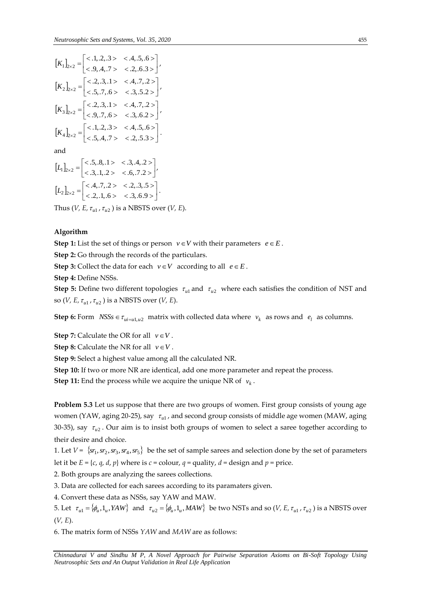$[K_{1}]_{b,2} = \begin{bmatrix} \epsilon, 2, 3, 1 \ge \epsilon, 2, 6, 3 \end{bmatrix}$ <br>  $[K_{2}]_{b,2} = \begin{bmatrix} \epsilon, 2, 3, 1 \ge \epsilon, 4, 7, 2 \ge \epsilon \end{bmatrix}$ <br>  $[K_{3}]_{b,2} = \begin{bmatrix} \epsilon, 2, 3, 1 \ge \epsilon, 4, 7, 2 \ge \epsilon \end{bmatrix}$ <br>  $[K_{3}]_{b,2} = \begin{bmatrix} \epsilon, 2, 3, 1 \ge \epsilon, 4, 3, 2 \ge \epsilon \end{bmatrix}$ <br>  $[K_{4}]_{b,2$  $\frac{1}{2}$  $\overline{\phantom{a}}$  $\overline{\mathsf{L}}$  $\mathbf{r}$  $<.9, .4, .7> <.2, .6.3>$  $\alpha_{\times 2} = \begin{bmatrix} <.1,.2,.3> & <.4,.5,.6> \\ <.9,.4,.7> & <.2,.6.3> \end{bmatrix}$  $K_1$ <sub>2×2</sub> =  $\begin{vmatrix} 1, & 2, & 3 \ 6, & 4, & 7 \end{vmatrix}$   $\begin{vmatrix} 2, & 6, & 3 \ 1, & 2, & 6, & 3 \end{vmatrix}$  $[K_2]_{2\times 2} = \begin{bmatrix} .2, .2, .2, .2 \\ .5, .7, .6 \end{bmatrix}$  < .3, .5.2 >  $\overline{\phantom{a}}$  $\overline{\mathsf{L}}$  $\mathbf{r}$  $<.5, .7, .6> <.3, .5.2>$  $\alpha_{\times 2} = \begin{bmatrix} <.2,.3,.1> & <.4,.7,.2> \\ <.5,.7,.6> & <.3,.5.2> \end{bmatrix}$  $K_2$ <sub>2×2</sub> =  $\begin{vmatrix} 1 & 0.3,1 & 1 & 1.7,2 & 1.8 \\ 0.5 & 7 & 6 & 1.6 & 1.8 \end{vmatrix}$ ,  $[K_3]_{2\times 2} = \begin{bmatrix} .2, .3, .2, .3 \\ .3, .6, .2 \end{bmatrix}$  $\overline{\phantom{a}}$  $\overline{\mathsf{L}}$  $\mathbf{r}$  $<.9, .7, .6> <.3, .6.2>$  $x_2 = \begin{bmatrix} <.2,.3,.1> & <.4,.7,.2> \\ <.9,.7,.6> & <.3,.6.2> \end{bmatrix}$  $K_3$ <sub>2×2</sub> =  $\begin{vmatrix} 1 & 0.3,1 & 1 & 1.7,12 \\ 0 & 0 & 0 & 1.6 \\ 0 & 0 & 0 & 0 \end{vmatrix}$  $[K_4]_{2\times 2} = \begin{bmatrix} .11,12,13 \\ -.5,14,7 \\ > .2,5.3 \\ > \end{bmatrix}$  $\overline{\phantom{a}}$  $\overline{\mathsf{L}}$  $\mathbf{r}$  $<.5, .4, .7> <.2, .5.3>$  $\alpha_{\times 2} = \begin{bmatrix} <.1, .2, .3 > & <.4, .5, .6 > \\ <.5, .4, .7 > & <.2, .5.3 > \end{bmatrix}$  $K_4$ <sub>2×2</sub> =  $\begin{vmatrix} <.1, .2, .3> & <.4, .5, .6> \\ <.5, .4, .7> & <.2, .5, .3> \end{vmatrix}$ .

and

$$
[L1]2×2 = \begin{bmatrix} < .5, .8, .1 > .3, .4, .2 > \\ -.3, .1, .2 > .6, .7.2 > \end{bmatrix},
$$

$$
[L2]2×2 = \begin{bmatrix} < .4, .7, .2 > .3, .5 > \\ -.2, .1, .6 > .3, .6.9 > \end{bmatrix}.
$$

Thus (*V*, *E*,  $\tau_{u1}$ ,  $\tau_{u2}$  ) is a NBSTS over (*V*, *E*).

# **Algorithm**

**Step 1:** List the set of things or person  $v \in V$  with their parameters  $e \in E$ .

**Step 2:** Go through the records of the particulars.

**Step 3:** Collect the data for each  $v \in V$  according to all  $e \in E$ .

**Step 4: Define NSSs.** 

**Step 5:** Define two different topologies  $\tau_{u1}$  and  $\tau_{u2}$  where each satisfies the condition of NST and so (*V, E,*  $\tau_{u1}$ *,*  $\tau_{u2}$ ) is a NBSTS over (*V, E*).

**Step 6:** Form  $NSSs \in \tau_{ui=u1, u2}$  matrix with collected data where  $v_k$  as rows and  $e_l$  as columns.

**Step 7:** Calculate the OR for all  $v \in V$ .

**Step 8:** Calculate the NR for all  $v \in V$ .

**Step 9:** Select a highest value among all the calculated NR.

**Step 10:** If two or more NR are identical, add one more parameter and repeat the process.

**Step 11:** End the process while we acquire the unique NR of  $v_k$ .

**Problem 5.3** Let us suppose that there are two groups of women. First group consists of young age women (YAW, aging 20-25), say  $\; \tau_{_{ul}}$ , and second group consists of middle age women (MAW, aging 30-35), say  $\tau_{u2}$ . Our aim is to insist both groups of women to select a saree together according to their desire and choice.

1. Let  $V = \{sr_1, sr_2, sr_3, sr_4, sr_5\}$  be the set of sample sarees and selection done by the set of parameters let it be  $E = \{c, q, d, p\}$  where is  $c =$  colour,  $q =$  quality,  $d =$  design and  $p =$  price.

2. Both groups are analyzing the sarees collections.

3. Data are collected for each sarees according to its paramaters given.

4. Convert these data as NSSs, say YAW and MAW.

5. Let  $\tau_{u1} = \{\phi_u, 1_u, YAW\}$  and  $\tau_{u2} = \{\phi_u, 1_u, MAW\}$  be two NSTs and so (*V, E,*  $\tau_{u1}$ ,  $\tau_{u2}$ ) is a NBSTS over (*V, E*).

6. The matrix form of NSSs *YAW* and *MAW* are as follows: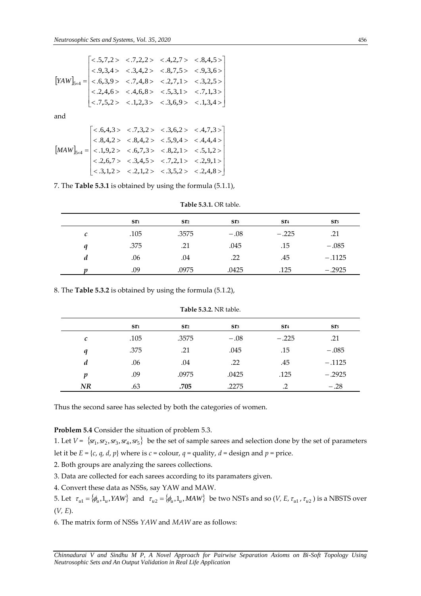$$
[YAW]_{5\times4} = \begin{bmatrix} < .5,7,2 > < .7,2,2 > < .4,2,7 > < .8,4,5 > \\ < .9,3,4 > < .3,4,2 > < .8,7,5 > < .9,3,6 > \\ < .6,3,9 > < .7,4,8 > < .2,7,1 > < .3,2,5 > \\ < .2,4,6 > < .4,6,8 > < .5,3,1 > < .7,1,3 > \\ < .7,5,2 > < .1,2,3 > < .3,6,9 > < .1,3,4 > \end{bmatrix}
$$

$$
[MAW]_{5\times4} = \begin{bmatrix} < .6,4,3 > < .7,3,2 > < .3,6,2 > < .4,7,3 > \\ < .8,4,2 > < .8,4,2 > < .5,9,4 > < .4,4,4 > \\ < .1,9,2 > < .6,7,3 > < .8,2,1 > < .5,1,2 > \\ < .2,6,7 > < .3,4,5 > < .7,2,1 > < .2,9,1 > \\ < .3,1,2 > < .2,1,2 > < .3,5,2 > < .2,4,8 > \end{bmatrix}
$$

7. The **Table 5.3.1** is obtained by using the formula (5.1.1),

|              | ST1  | ST <sub>2</sub> | ST3    | ST <sub>4</sub> | ST <sub>5</sub> |
|--------------|------|-----------------|--------|-----------------|-----------------|
| $\mathcal C$ | .105 | .3575           | $-.08$ | $-.225$         | .21             |
| a            | .375 | .21             | .045   | .15             | $-.085$         |
| d            | .06  | .04             | .22    | .45             | $-.1125$        |
|              | .09  | .0975           | .0425  | .125            | $-.2925$        |

**Table 5.3.1.** OR table.

8. The **Table 5.3.2** is obtained by using the formula (5.1.2),

|                  | ST <sub>1</sub> | ST <sub>2</sub> | ST3    | ST <sub>4</sub> | ST <sub>5</sub> |
|------------------|-----------------|-----------------|--------|-----------------|-----------------|
| $\mathcal C$     | .105            | .3575           | $-.08$ | $-.225$         | .21             |
| q                | .375            | .21             | .045   | .15             | $-.085$         |
| $\boldsymbol{d}$ | .06             | .04             | .22    | .45             | $-.1125$        |
| $\boldsymbol{p}$ | .09             | .0975           | .0425  | .125            | $-.2925$        |
| NR               | .63             | .705            | .2275  | $\cdot$ .2      | $-.28$          |

**Table 5.3.2.** NR table.

Thus the second saree has selected by both the categories of women.

**Problem 5.4** Consider the situation of problem 5.3.

1. Let  $V = \{sr_1, sr_2, sr_3, sr_4, sr_5\}$  be the set of sample sarees and selection done by the set of parameters let it be  $E = \{c, q, d, p\}$  where is  $c =$  colour,  $q =$  quality,  $d =$  design and  $p =$  price.

2. Both groups are analyzing the sarees collections.

3. Data are collected for each sarees according to its paramaters given.

4. Convert these data as NSSs, say YAW and MAW.

5. Let  $\tau_{u1} = \{\phi_u, 1_u, YAW\}$  and  $\tau_{u2} = \{\phi_u, 1_u, MAW\}$  be two NSTs and so (*V, E,*  $\tau_{u1}$ ,  $\tau_{u2}$ ) is a NBSTS over (*V, E*).

6. The matrix form of NSSs *YAW* and *MAW* are as follows: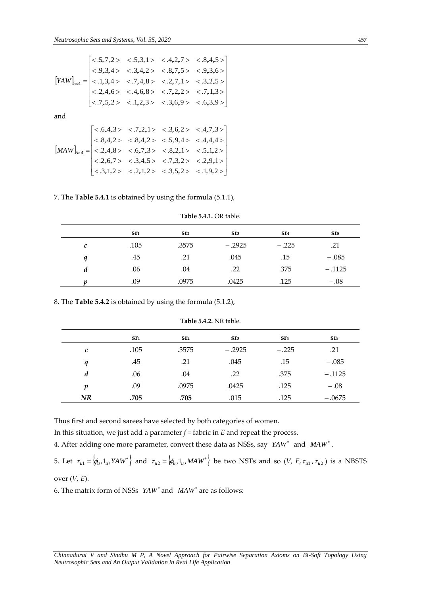$$
[YAW]_{S\times4} = \begin{bmatrix} < .5,7,2 > < .5,3,1 > < .4,2,7 > < .8,4,5 > \\ < .9,3,4 > < .3,4,2 > < .8,7,5 > < .9,3,6 > \\ < .1,3,4 > < .7,4,8 > < .2,7,1 > < .3,2,5 > \\ < .2,4,6 > < .4,6,8 > < .7,2,2 > < .7,1,3 > \\ < .7,5,2 > < .1,2,3 > < .3,6,9 > < .6,3,9 > \end{bmatrix}
$$

$$
[MAW]_{s\times 4} = \begin{bmatrix} <0.6, 4, 3 > 0.7, 2, 1 > 0.3, 6, 2 > 0.4, 7, 3 > 0.8, 4, 2 > 0.8, 4, 2 > 0.5, 9, 4 > 0.4, 4, 4 > 0.2, 4, 8 > 0.6, 7, 3 > 0.8, 2, 1 > 0.5, 1, 2 > 0.2, 6, 7 > 0.3, 4, 5 > 0.7, 3, 2 > 0.2, 9, 1 > 0.2, 1, 2 > 0.2, 1, 2 > 0.3, 5, 2 > 0.1, 9, 2 > 0.2, 1, 2 > 0.3, 5, 2 > 0.3, 5, 2 > 0.3, 9, 2 > 0.3, 1, 2 > 0.3, 5, 2 > 0.3, 1, 9, 2 > 0.3, 3, 4, 5 > 0.3, 5, 2 > 0.3, 1, 9, 2 > 0.3, 3, 4, 5 > 0.3, 5, 2 > 0.3, 5, 2 > 0.3, 4, 5 > 0.3, 5, 2 > 0.3, 5, 2 > 0.3, 4, 5 > 0.3, 5, 2 > 0.3, 5, 2 > 0.3, 5, 2 > 0.3, 5, 2 > 0.3, 4, 5 = 0.3, 4, 5 = 0.3, 5, 2 = 0.3, 4, 5 = 0.3, 5, 2 = 0.3, 5, 2 = 0.3, 5, 2 = 0.3, 5, 2 = 0.3, 5, 2 = 0.3, 5, 2 = 0.3, 5, 2 = 0.3, 5, 2 = 0.3, 5, 2 = 0.3, 5, 2 = 0.3, 5, 2 = 0.3, 5, 2 = 0.3, 5, 2 = 0.3, 5, 2 = 0.3, 5, 2 = 0.3, 5, 2 = 0.3, 5, 2 = 0.3, 5, 2 = 0.3, 5, 2 = 0.3, 5, 2 = 0.3, 5, 2 = 0.
$$

7. The **Table 5.4.1** is obtained by using the formula (5.1.1),

|   | Sr1  | ST <sub>2</sub> | ST3      | ST <sub>4</sub> | ST <sub>5</sub> |
|---|------|-----------------|----------|-----------------|-----------------|
| C | .105 | .3575           | $-.2925$ | $-.225$         | .21             |
| q | .45  | .21             | .045     | .15             | $-.085$         |
| d | .06  | .04             | .22      | .375            | $-.1125$        |
|   | .09  | .0975           | .0425    | .125            | $-.08$          |

**Table 5.4.1.** OR table.

8. The **Table 5.4.2** is obtained by using the formula (5.1.2),

|    | ST1  | ST <sub>2</sub> | ST3      | ST <sub>4</sub> | ST <sub>5</sub> |
|----|------|-----------------|----------|-----------------|-----------------|
| c  | .105 | .3575           | $-.2925$ | $-.225$         | .21             |
| q  | .45  | .21             | .045     | .15             | $-.085$         |
| d  | .06  | .04             | .22      | .375            | $-.1125$        |
| p  | .09  | .0975           | .0425    | .125            | $-.08$          |
| NR | .705 | .705            | .015     | .125            | $-.0675$        |

**Table 5.4.2.** NR table.

Thus first and second sarees have selected by both categories of women.

In this situation, we just add a parameter *f* = fabric in *E* and repeat the process.

4. After adding one more parameter, convert these data as NSSs, say *YAW*<sup>\*</sup> and *MAW*<sup>\*</sup>.

5. Let  $\tau_{u1} = \phi_u, 1_u, YAW^* \}$  and  $\tau_{u2} = \phi_u, 1_u, MAW^* \}$  be two NSTs and so (*V, E,*  $\tau_{u1}$ ,  $\tau_{u2}$ ) is a NBSTS over (*V, E*).

6. The matrix form of NSSs *YAW*<sup>\*</sup> and *MAW*<sup>\*</sup> are as follows: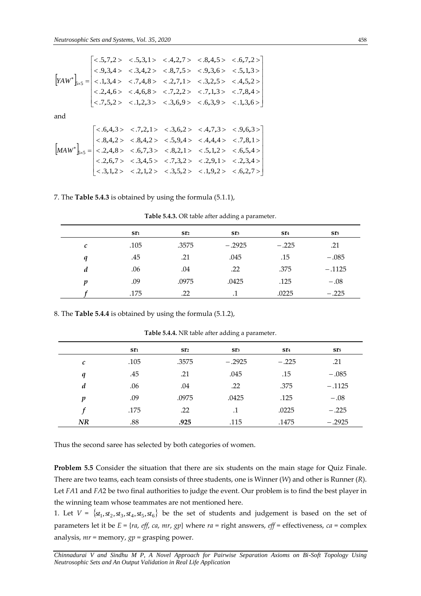$$
\begin{bmatrix} &(.5,7,2) &(.5,3,1) &(.4,2,7) &(.8,4,5) &(.6,7,2) \\ &(.9,3,4) &(.3,4,2) &(.8,7,5) &(.9,3,6) &(.5,1,3) \\ &(.1,3,4) &(.7,4,8) &(.2,7,1) &(.3,2,5) &(.4,5,2) \\ &(.2,4,6) &(.4,6,8) &(.7,2,2) &(.7,1,3) &(.7,8,4) \\ &(.7,5,2) &(.1,2,3) &(.3,6,9) &(.6,3,9) &(.1,3,6) \end{bmatrix}
$$

$$
\begin{bmatrix} \langle .6,4,3 \rangle & \langle .7,2,1 \rangle & \langle .3,6,2 \rangle & \langle .4,7,3 \rangle & \langle .9,6,3 \rangle \\ \langle .8,4,2 \rangle & \langle .8,4,2 \rangle & \langle .5,9,4 \rangle & \langle .4,4,4 \rangle & \langle .7,8,1 \rangle \\ \langle .2,4,8 \rangle & \langle .6,7,3 \rangle & \langle .8,2,1 \rangle & \langle .5,1,2 \rangle & \langle .6,5,4 \rangle \\ \langle .2,6,7 \rangle & \langle .3,4,5 \rangle & \langle .7,3,2 \rangle & \langle .2,9,1 \rangle & \langle .2,3,4 \rangle \\ \langle .3,1,2 \rangle & \langle .2,1,2 \rangle & \langle .3,5,2 \rangle & \langle .1,9,2 \rangle & \langle .6,2,7 \rangle \end{bmatrix}
$$

# 7. The **Table 5.4.3** is obtained by using the formula (5.1.1),

**Table 5.4.3.** OR table after adding a parameter.

|                  | ST1  | ST <sub>2</sub> | ST3       | Sr <sub>4</sub> | sr <sub>5</sub> |
|------------------|------|-----------------|-----------|-----------------|-----------------|
| $\mathcal C$     | .105 | .3575           | $-.2925$  | $-.225$         | .21             |
| q                | .45  | .21             | .045      | .15             | $-.085$         |
| d                | .06  | .04             | .22       | .375            | $-.1125$        |
| $\boldsymbol{v}$ | .09  | .0975           | .0425     | .125            | $-.08$          |
|                  | .175 | .22             | $\cdot$ 1 | .0225           | $-.225$         |

8. The **Table 5.4.4** is obtained by using the formula (5.1.2),

 $\begin{vmatrix} 2K\frac{1}{2} < 1.3.4 > < .7.4.8 > < 2.7.1 > < .3.2.5 > 0.7.1 > < .3.7.2 > < .7.1.3 > < .7.1.3 > < .7.1.3 > < .7.1.3 > < .7.1.3 > < .7.1.3 > < .8.4.4 > < .8.4.4 > < .8.4.4 > < .8.4.4 > < .8.4.4 > <$ **sr<sup>1</sup> sr<sup>2</sup> sr<sup>3</sup> sr<sup>4</sup> sr<sup>5</sup>** *c* .105 .3575  $-.2925$  $-.225$  .21 *q* .45 .21 .045 .15  $-.085$ *d* .06 .04 .22 .375 .1125 *p* .09 .0975 .0425 .125  $-.08$ *f* .175 .22 .1 .0225  $-.225$ *NR* .88 **.925** .115 .1475  $-.2925$ 

**Table 5.4.4.** NR table after adding a parameter.

Thus the second saree has selected by both categories of women.

**Problem 5.5** Consider the situation that there are six students on the main stage for Quiz Finale. There are two teams, each team consists of three students, one is Winner (*W*) and other is Runner (*R*). Let *FA*1 and *FA*2 be two final authorities to judge the event. Our problem is to find the best player in the winning team whose teammates are not mentioned here.

1. Let  $V = \{st_1, st_2, st_3, st_4, st_5, st_6\}$  be the set of students and judgement is based on the set of parameters let it be *E* = {*ra*, *eff*, *ca*, *mr*, *gp*} where *ra* = right answers, *eff* = effectiveness, *ca* = complex analysis, *mr* = memory, *gp* = grasping power.

*Chinnadurai V and Sindhu M P, A Novel Approach for Pairwise Separation Axioms on Bi-Soft Topology Using*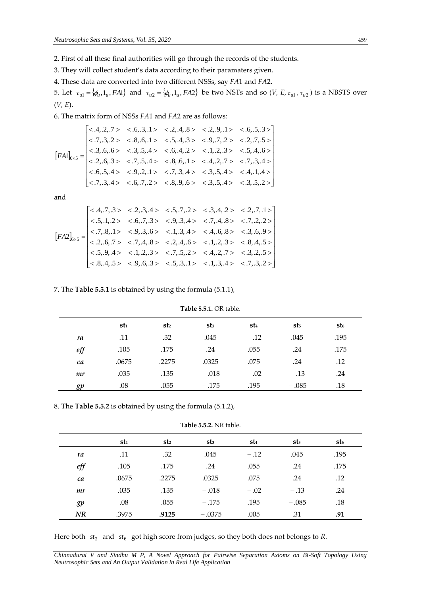- 2. First of all these final authorities will go through the records of the students.
- 3. They will collect student's data according to their paramaters given.
- 4. These data are converted into two different NSSs, say *FA*1 and *FA*2.

5. Let  $\tau_{ul} = \{\phi_u, 1_u, FA1\}$  and  $\tau_{u2} = \{\phi_u, 1_u, FA2\}$  be two NSTs and so (*V, E,*  $\tau_{u1}$ ,  $\tau_{u2}$ ) is a NBSTS over (*V, E*).

6. The matrix form of NSSs *FA*1 and *FA*2 are as follows:

 .7,.3,.4 .6,.7,.2 .8,.9,.6 .3,.5,.4 .3,.5,.2 .6,.5,.4 .9,.2,.1 .7,.3,.4 .3,.5,.4 .4,.1,.4 .2,.6,.3 .7,.5,.4 .8,.6,.1 .4,.2,.7 .7,.3,.4 .3,.6,.6 .3,.5,.4 .6,.4,.2 .1,.2,.3 .5,.4,.6 .7,.3,.2 .8,.6,.1 .5,.4,.3 .9,.7,.2 .2,.7,.5 .4,.2,.7 .6,.3,.1 .2,.4,.8 .2,.9,.1 .6,.5,.3 1 *FA* <sup>6</sup> <sup>5</sup>

and

$$
\begin{bmatrix} & (4,7,3) & & (2,3,4) & & (5,7,2) & & (3,4,2) & & (2,7,1) & \\ & & (5,1,2) & & (6,7,3) & & (9,3,4) & & (7,4,8) & & (7,2,2) \\ & & (5,1,2) & & (5,7,3) & & (9,3,4) & & (7,4,8) & & (7,2,2) \\ & & (7,8,1) & & (9,3,6) & & (1,3,4) & & (4,6,8) & & (3,6,9) \\ & & (2,6,7) & & (7,4,8) & & (2,4,6) & & (1,2,3) & & (8,4,5) \\ & & (5,9,4) & & (1,2,3) & & (7,5,2) & & (4,2,7) & & (3,2,5) \\ & & (8,4,5) & & (9,6,3) & & (5,3,1) & & (1,3,4) & & (7,3,2) \end{bmatrix}
$$

# 7. The **Table 5.5.1** is obtained by using the formula (5.1.1),

|           | st1   | st2   | st <sub>3</sub> | st4    | st <sub>5</sub> | st6  |
|-----------|-------|-------|-----------------|--------|-----------------|------|
| ra        | .11   | .32   | .045            | $-.12$ | .045            | .195 |
| $\it eff$ | .105  | .175  | .24             | .055   | .24             | .175 |
| ca        | .0675 | .2275 | .0325           | .075   | .24             | .12  |
| mr        | .035  | .135  | $-.018$         | $-.02$ | $-.13$          | .24  |
| gp        | .08   | .055  | $-.175$         | .195   | $-.085$         | .18  |

**Table 5.5.1.** OR table.

8. The **Table 5.5.2** is obtained by using the formula (5.1.2),

**Table 5.5.2.** NR table.

|          | stı   | st2   | $st_3$   | st4    | st <sub>5</sub> | st6  |
|----------|-------|-------|----------|--------|-----------------|------|
| ra       | .11   | .32   | .045     | $-.12$ | .045            | .195 |
| $_{eff}$ | .105  | .175  | .24      | .055   | .24             | .175 |
| ca       | .0675 | .2275 | .0325    | .075   | .24             | .12  |
| mr       | .035  | .135  | $-.018$  | $-.02$ | $-.13$          | .24  |
| gp       | .08   | .055  | $-.175$  | .195   | $-.085$         | .18  |
| NR       | .3975 | .9125 | $-.0375$ | .005   | .31             | .91  |

Here both  $st_2$  and  $st_6$  got high score from judges, so they both does not belongs to *R*.

*Chinnadurai V and Sindhu M P, A Novel Approach for Pairwise Separation Axioms on Bi-Soft Topology Using Neutrosophic Sets and An Output Validation in Real Life Application*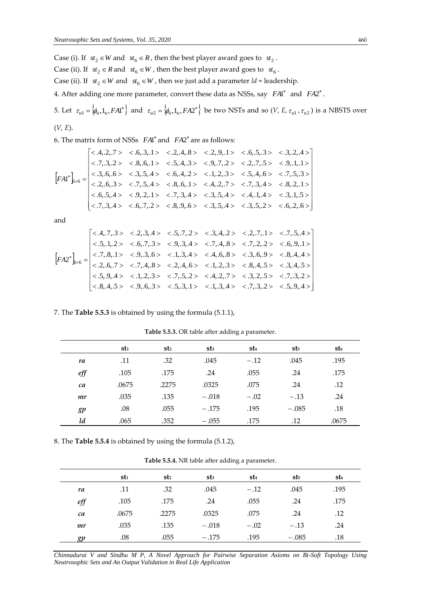Case (i). If  $st_2 \in W$  and  $st_6 \in R$ , then the best player award goes to  $st_2$ . Case (ii). If  $st_2 \in R$  and  $st_6 \in W$ , then the best player award goes to  $st_6$ . Case (ii). If  $st_2 \in W$  and  $st_6 \in W$ , then we just add a parameter  $ld$  = leadership. 4. After adding one more parameter, convert these data as NSSs, say  $FA1^*$  and  $FA2^*$ . 5. Let  $\tau_{u1} = \langle \phi_u, 1_u, FA1^* \rangle$  and  $\tau_{u2} = \langle \phi_u, 1_u, FA2^* \rangle$  be two NSTs and so (*V, E,*  $\tau_{u1}$ ,  $\tau_{u2}$ ) is a NBSTS over

$$
(V, E).
$$

6. The matrix form of NSSs *FA*1 and *FA*2 are as follows:

$$
\begin{bmatrix} < .4, .2, .7 > < .6, .3, .1 > < .2, .4, .8 > < .2, .9, .1 > < .6, .5, .3 > < .3, .2, .4 > \\ < .7, .3, .2 > < .8, .6, .1 > < .5, .4, .3 > < .9, .7, .2 > < .2, .7, .5 > < .9, .1, .1 > \\ < .3, .6, .6 > < .3, .5, .4 > < .6, .4, .2 > < .1, .2, .3 > < .5, .4, .6 > < .7, .5, .3 > \\ < .2, .6, .3 > < .7, .5, .4 > < .8, .6, .1 > < .4, .2, .7 > < .7, .3, .4 > < .8, .2, .1 > \\ < .6, .5, .4 > < .9, .2, .1 > < .7, .3, .4 > < .3, .5, .4 > < .4, .1, .4 > < .3, .1, .5 > \\ < .7, .3, .4 > < .6, .7, .2 > < .8, .9, .6 > < .3, .5, .4 > < .3, .5, .2 > < .6, .2, .6 > \end{bmatrix}
$$

and

 .5,.9,.4 .7,.3,.2 .3,.4,.5 .8,.4,.4 .6,.9,.1 .7,.5,.4 .8,.4,.5 .9,.6,.3 .5,.3,.1 .1,.3,.4 .7,.3,.2 .5,.9,.4 .1,.2,.3 .7,.5,.2 .4,.2,.7 .3,.2,.5 .2,.6,.7 .7,.4,.8 .2,.4,.6 .1,.2,.3 .8,.4,.5 .7,.8,.1 .9,.3,.6 .1,.3,.4 .4,.6,.8 .3,.6,.9 .5,.1,.2 .6,.7,.3 .9,.3,.4 .7,.4,.8 .7,.2,.2 .4,.7,.3 .2,.3,.4 .5,.7,.2 .3,.4,.2 .2,.7,.1 2 *F A* 6 6

7. The **Table 5.5.3** is obtained by using the formula (5.1.1),

|          | st1   | st <sub>2</sub> | $st_3$  | st4    | st5     | st6   |
|----------|-------|-----------------|---------|--------|---------|-------|
| ra       | .11   | .32             | .045    | $-.12$ | .045    | .195  |
| $_{eff}$ | .105  | .175            | .24     | .055   | .24     | .175  |
| ca       | .0675 | .2275           | .0325   | .075   | .24     | .12   |
| mr       | .035  | .135            | $-.018$ | $-.02$ | $-.13$  | .24   |
| gp       | .08   | .055            | $-.175$ | .195   | $-.085$ | .18   |
| ld       | .065  | .352            | $-.055$ | .175   | .12     | .0675 |

**Table 5.5.3.** OR table after adding a parameter.

8. The **Table 5.5.4** is obtained by using the formula (5.1.2),

**Table 5.5.4.** NR table after adding a parameter.

|          | stı   | st2   | st <sub>3</sub> | st4    | st5     | st6  |
|----------|-------|-------|-----------------|--------|---------|------|
| ra       | .11   | .32   | .045            | $-.12$ | .045    | .195 |
| $_{eff}$ | .105  | .175  | .24             | .055   | .24     | .175 |
| ca       | .0675 | .2275 | .0325           | .075   | .24     | .12  |
| mr       | .035  | .135  | $-.018$         | $-.02$ | $-.13$  | .24  |
| σn       | .08   | .055  | $-.175$         | .195   | $-.085$ | .18  |

*Chinnadurai V and Sindhu M P, A Novel Approach for Pairwise Separation Axioms on Bi-Soft Topology Using Neutrosophic Sets and An Output Validation in Real Life Application*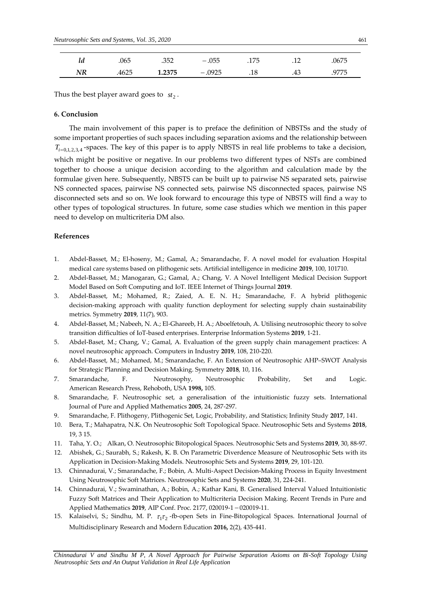| ıa | .065 | .352   | $-.055$  | .175 | $-1/2$ | .0675 |
|----|------|--------|----------|------|--------|-------|
| NR | 4625 | 1.2375 | $-.0925$ | .18  | .43    | .9775 |

Thus the best player award goes to  $st_2$ .

# **6. Conclusion**

The main involvement of this paper is to preface the definition of NBSTSs and the study of some important properties of such spaces including separation axioms and the relationship between  $T_{i=0,1,2,3,4}$ -spaces. The key of this paper is to apply NBSTS in real life problems to take a decision, which might be positive or negative. In our problems two different types of NSTs are combined together to choose a unique decision according to the algorithm and calculation made by the formulae given here. Subsequently, NBSTS can be built up to pairwise NS separated sets, pairwise NS connected spaces, pairwise NS connected sets, pairwise NS disconnected spaces, pairwise NS disconnected sets and so on. We look forward to encourage this type of NBSTS will find a way to other types of topological structures. In future, some case studies which we mention in this paper need to develop on multicriteria DM also.

#### **References**

- 1. Abdel-Basset, M.; El-hoseny, M.; Gamal, A.; Smarandache, F. A novel model for evaluation Hospital medical care systems based on plithogenic sets. Artificial intelligence in medicine **2019**, 100, 101710.
- 2. Abdel-Basset, M.; Manogaran, G.; Gamal, A.; Chang, V. A Novel Intelligent Medical Decision Support Model Based on Soft Computing and IoT. IEEE Internet of Things Journal **2019**.
- 3. Abdel-Basset, M.; Mohamed, R.; Zaied, A. E. N. H.; Smarandache, F. A hybrid plithogenic decision-making approach with quality function deployment for selecting supply chain sustainability metrics. Symmetry **2019**, 11(7), 903.
- 4. Abdel-Basset, M.; Nabeeh, N. A.; El-Ghareeb, H. A.; Aboelfetouh, A. Utilising neutrosophic theory to solve transition difficulties of IoT-based enterprises. Enterprise Information Systems **2019**, 1-21.
- 5. Abdel-Baset, M.; Chang, V.; Gamal, A. Evaluation of the green supply chain management practices: A novel neutrosophic approach. Computers in Industry **2019**, 108, 210-220.
- 6. Abdel-Basset, M.; Mohamed, M.; Smarandache, F. An Extension of Neutrosophic AHP–SWOT Analysis for Strategic Planning and Decision Making. Symmetry **2018**, 10, 116.
- 7. Smarandache, F. Neutrosophy, Neutrosophic Probability, Set and Logic. American Research Press, Rehoboth, USA **1998,** 105.
- 8. Smarandache, F. Neutrosophic set, a generalisation of the intuitionistic fuzzy sets. International Journal of Pure and Applied Mathematics **2005**, 24, 287-297.
- 9. Smarandache, F. Plithogeny, Plithogenic Set, Logic, Probability, and Statistics; Infinity Study **2017**, 141.
- 10. Bera, T.; Mahapatra, N.K. On Neutrosophic Soft Topological Space. Neutrosophic Sets and Systems **2018**, 19, 3 15.
- 11. Taha, Y. O.; Alkan, O. Neutrosophic Bitopological Spaces. Neutrosophic Sets and Systems **2019**, 30, 88-97.
- 12. Abishek, G.; Saurabh, S.; Rakesh, K. B. On Parametric Diverdence Measure of Neutrosophic Sets with its Application in Decision-Making Models. Neutrosophic Sets and Systems **2019**, 29, 101-120.
- 13. Chinnadurai, V.; Smarandache, F.; Bobin, A. Multi-Aspect Decision-Making Process in Equity Investment Using Neutrosophic Soft Matrices. Neutrosophic Sets and Systems **2020**, 31, 224-241.
- 14. Chinnadurai, V.; Swaminathan, A.; Bobin, A.; Kathar Kani, B. Generalised Interval Valued Intuitionistic Fuzzy Soft Matrices and Their Application to Multicriteria Decision Making. Recent Trends in Pure and Applied Mathematics 2019, AIP Conf. Proc. 2177, 020019-1 - 020019-11.
- 15. Kalaiselvi, S.; Sindhu, M. P.  $\tau_1\tau_2$ -fb-open Sets in Fine-Bitopological Spaces. International Journal of Multidisciplinary Research and Modern Education **2016,** 2(2), 435-441.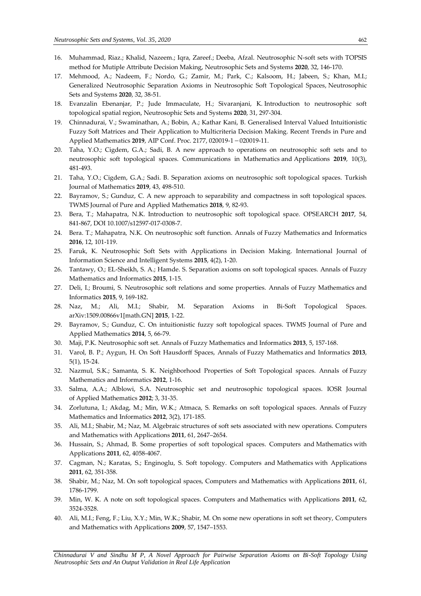- 16. Muhammad, Riaz.; Khalid, Nazeem.; Iqra, Zareef.; Deeba, Afzal. Neutrosophic N-soft sets with TOPSIS method for Mutiple Attribute Decision Making, Neutrosophic Sets and Systems **2020**, 32, 146-170.
- 17. Mehmood, A.; Nadeem, F.; Nordo, G.; Zamir, M.; Park, C.; Kalsoom, H.; Jabeen, S.; Khan, M.I.; [Generalized Neutrosophic Separation Axioms in Neutrosophic Soft Topological Spaces,](http://fs.unm.edu/NSS/GeneralizedNeutrosophicSeparationAxioms3.pdf) Neutrosophic Sets and Systems **2020**, 32, 38-51.
- 18. Evanzalin Ebenanjar, P.; Jude Immaculate, H.; Sivaranjani, K. [Introduction to neutrosophic soft](http://fs.unm.edu/NSS/neutrosophicSoftTopologicalSpatialRegion.pdf)  [topological spatial region,](http://fs.unm.edu/NSS/neutrosophicSoftTopologicalSpatialRegion.pdf) Neutrosophic Sets and Systems **2020**, 31, 297-304.
- 19. Chinnadurai, V.; Swaminathan, A.; Bobin, A.; Kathar Kani, B. Generalised Interval Valued Intuitionistic Fuzzy Soft Matrices and Their Application to Multicriteria Decision Making. Recent Trends in Pure and Applied Mathematics 2019, AIP Conf. Proc. 2177, 020019-1 - 020019-11.
- 20. Taha, Y.O.; Cigdem, G.A.; Sadi, B. A new approach to operations on neutrosophic soft sets and to neutrosophic soft topological spaces. Communications in Mathematics and Applications **2019**, 10(3), 481-493.
- 21. Taha, Y.O.; Cigdem, G.A.; Sadi. B. Separation axioms on neutrosophic soft topological spaces. Turkish Journal of Mathematics **2019**, 43, 498-510.
- 22. Bayramov, S.; Gunduz, C. A new approach to separability and compactness in soft topological spaces. TWMS Journal of Pure and Applied Mathematics **2018**, 9, 82-93.
- 23. Bera, T.; Mahapatra, N.K. Introduction to neutrosophic soft topological space. OPSEARCH **2017**, 54, 841-867, DOI 10.1007/s12597-017-0308-7.
- 24. Bera. T.; Mahapatra, N.K. On neutrosophic soft function. Annals of Fuzzy Mathematics and Informatics **2016**, 12, 101-119.
- 25. Faruk, K. Neutrosophic Soft Sets with Applications in Decision Making. International Journal of Information Science and Intelligent Systems **2015**, 4(2), 1-20.
- 26. Tantawy, O.; EL-Sheikh, S. A.; Hamde. S. Separation axioms on soft topological spaces. Annals of Fuzzy Mathematics and Informatics **2015**, 1-15.
- 27. Deli, I.; Broumi, S. Neutrosophic soft relations and some properties. Annals of Fuzzy Mathematics and Informatics **2015**, 9, 169-182.
- 28. Naz, M.; Ali, M.I.; Shabir, M. Separation Axioms in Bi-Soft Topological Spaces. arXiv:1509.00866v1[math.GN] **2015**, 1-22.
- 29. Bayramov, S.; Gunduz, C. On intuitionistic fuzzy soft topological spaces. TWMS Journal of Pure and Applied Mathematics **2014**, 5, 66-79.
- 30. Maji, P.K. Neutrosophic soft set. Annals of Fuzzy Mathematics and Informatics **2013**, 5, 157-168.
- 31. Varol, B. P.; Aygun, H. On Soft Hausdorff Spaces, Annals of Fuzzy Mathematics and Informatics **2013**, 5(1), 15-24.
- 32. Nazmul, S.K.; Samanta, S. K. Neighborhood Properties of Soft Topological spaces. Annals of Fuzzy Mathematics and Informatics **2012**, 1-16.
- 33. Salma, A.A.; Alblowi, S.A. Neutrosophic set and neutrosophic topological spaces. IOSR Journal of Applied Mathematics **2012**; 3, 31-35.
- 34. Zorlutuna, I.; Akdag, M.; Min, W.K.; Atmaca, S. Remarks on soft topological spaces. Annals of Fuzzy Mathematics and Informatics **2012**, 3(2), 171-185.
- 35. Ali, M.I.; Shabir, M.; Naz, M. Algebraic structures of soft sets associated with new operations. Computers and Mathematics with Applications **2011**, 61, 2647–2654.
- 36. Hussain, S.; Ahmad, B. Some properties of soft topological spaces. Computers and Mathematics with Applications **2011**, 62, 4058-4067.
- 37. Cagman, N.; Karatas, S.; Enginoglu, S. Soft topology. Computers and Mathematics with Applications **2011**, 62, 351-358.
- 38. Shabir, M.; Naz, M. On soft topological spaces, Computers and Mathematics with Applications **2011**, 61, 1786-1799.
- 39. Min, W. K. A note on soft topological spaces. Computers and Mathematics with Applications **2011**, 62, 3524-3528.
- 40. Ali, M.I.; Feng, F.; Liu, X.Y.; Min, W.K.; Shabir, M. On some new operations in soft set theory, Computers and Mathematics with Applications **2009**, 57, 1547–1553.